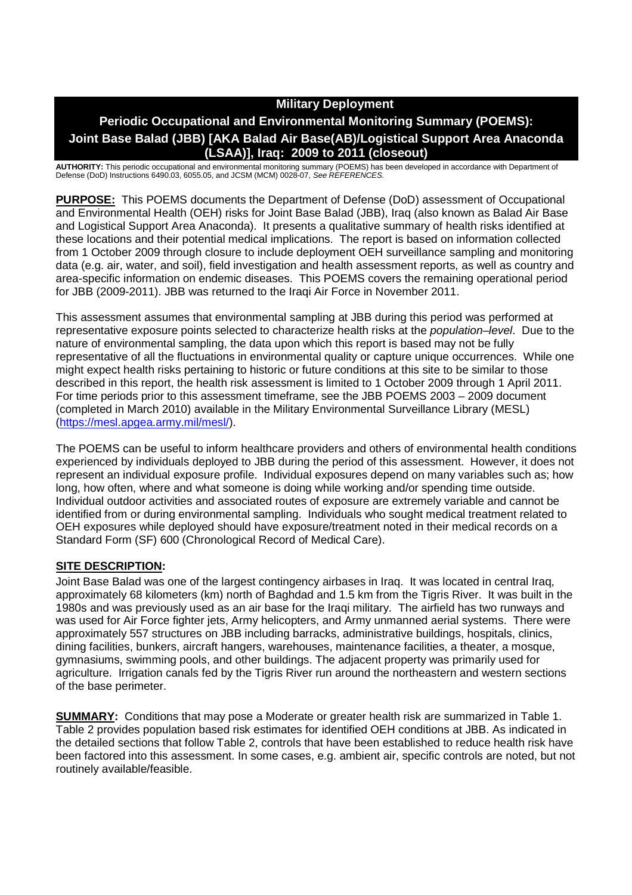# **Military Deployment**

# **Periodic Occupational and Environmental Monitoring Summary (POEMS): Joint Base Balad (JBB) [AKA Balad Air Base(AB)/Logistical Support Area Anaconda (LSAA)], Iraq: 2009 to 2011 (closeout)**

**AUTHORITY:** This periodic occupational and environmental monitoring summary (POEMS) has been developed in accordance with Department of Defense (DoD) Instructions 6490.03, 6055.05, and JCSM (MCM) 0028-07, *See REFERENCES.*

**PURPOSE:** This POEMS documents the Department of Defense (DoD) assessment of Occupational and Environmental Health (OEH) risks for Joint Base Balad (JBB), Iraq (also known as Balad Air Base and Logistical Support Area Anaconda). It presents a qualitative summary of health risks identified at these locations and their potential medical implications. The report is based on information collected from 1 October 2009 through closure to include deployment OEH surveillance sampling and monitoring data (e.g. air, water, and soil), field investigation and health assessment reports, as well as country and area-specific information on endemic diseases. This POEMS covers the remaining operational period for JBB (2009-2011). JBB was returned to the Iraqi Air Force in November 2011.

This assessment assumes that environmental sampling at JBB during this period was performed at representative exposure points selected to characterize health risks at the *population–level*. Due to the nature of environmental sampling, the data upon which this report is based may not be fully representative of all the fluctuations in environmental quality or capture unique occurrences. While one might expect health risks pertaining to historic or future conditions at this site to be similar to those described in this report, the health risk assessment is limited to 1 October 2009 through 1 April 2011. For time periods prior to this assessment timeframe, see the JBB POEMS 2003 – 2009 document (completed in March 2010) available in the Military Environmental Surveillance Library (MESL) (https://mesl.apgea.army.mil/mesl/).

The POEMS can be useful to inform healthcare providers and others of environmental health conditions experienced by individuals deployed to JBB during the period of this assessment. However, it does not represent an individual exposure profile. Individual exposures depend on many variables such as; how long, how often, where and what someone is doing while working and/or spending time outside. Individual outdoor activities and associated routes of exposure are extremely variable and cannot be identified from or during environmental sampling. Individuals who sought medical treatment related to OEH exposures while deployed should have exposure/treatment noted in their medical records on a Standard Form (SF) 600 (Chronological Record of Medical Care).

### **SITE DESCRIPTION:**

Joint Base Balad was one of the largest contingency airbases in Iraq. It was located in central Iraq, approximately 68 kilometers (km) north of Baghdad and 1.5 km from the Tigris River. It was built in the 1980s and was previously used as an air base for the Iraqi military. The airfield has two runways and was used for Air Force fighter jets, Army helicopters, and Army unmanned aerial systems. There were approximately 557 structures on JBB including barracks, administrative buildings, hospitals, clinics, dining facilities, bunkers, aircraft hangers, warehouses, maintenance facilities, a theater, a mosque, gymnasiums, swimming pools, and other buildings. The adjacent property was primarily used for agriculture. Irrigation canals fed by the Tigris River run around the northeastern and western sections of the base perimeter.

**SUMMARY:** Conditions that may pose a Moderate or greater health risk are summarized in Table 1. Table 2 provides population based risk estimates for identified OEH conditions at JBB. As indicated in the detailed sections that follow Table 2, controls that have been established to reduce health risk have been factored into this assessment. In some cases, e.g. ambient air, specific controls are noted, but not routinely available/feasible.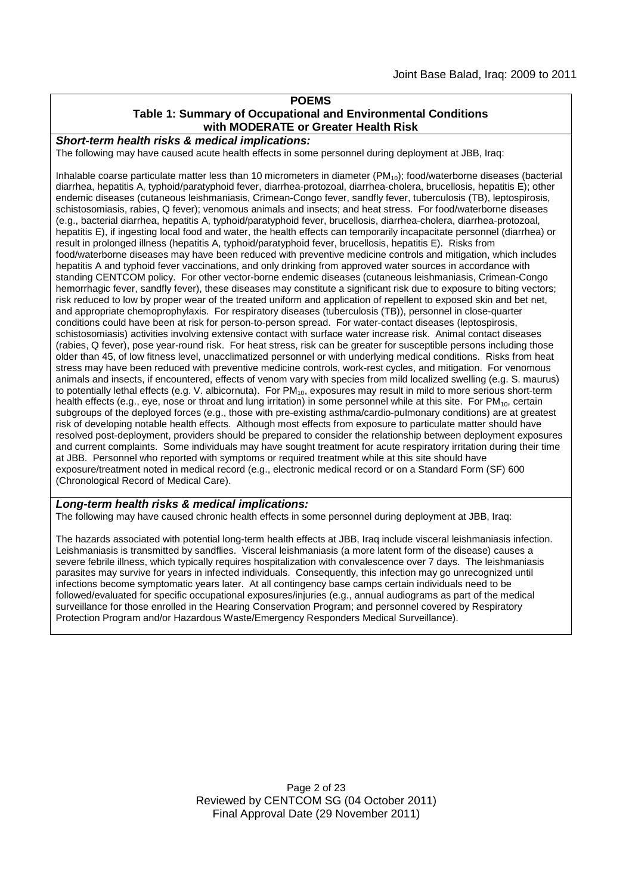#### **POEMS Table 1: Summary of Occupational and Environmental Conditions with MODERATE or Greater Health Risk**

*Short-term health risks & medical implications:*

The following may have caused acute health effects in some personnel during deployment at JBB, Iraq:

Inhalable coarse particulate matter less than 10 micrometers in diameter  $(PM_{10})$ ; food/waterborne diseases (bacterial diarrhea, hepatitis A, typhoid/paratyphoid fever, diarrhea-protozoal, diarrhea-cholera, brucellosis, hepatitis E); other endemic diseases (cutaneous leishmaniasis, Crimean-Congo fever, sandfly fever, tuberculosis (TB), leptospirosis, schistosomiasis, rabies, Q fever); venomous animals and insects; and heat stress. For food/waterborne diseases (e.g., bacterial diarrhea, hepatitis A, typhoid/paratyphoid fever, brucellosis, diarrhea-cholera, diarrhea-protozoal, hepatitis E), if ingesting local food and water, the health effects can temporarily incapacitate personnel (diarrhea) or result in prolonged illness (hepatitis A, typhoid/paratyphoid fever, brucellosis, hepatitis E). Risks from food/waterborne diseases may have been reduced with preventive medicine controls and mitigation, which includes hepatitis A and typhoid fever vaccinations, and only drinking from approved water sources in accordance with standing CENTCOM policy. For other vector-borne endemic diseases (cutaneous leishmaniasis, Crimean-Congo hemorrhagic fever, sandfly fever), these diseases may constitute a significant risk due to exposure to biting vectors; risk reduced to low by proper wear of the treated uniform and application of repellent to exposed skin and bet net, and appropriate chemoprophylaxis. For respiratory diseases (tuberculosis (TB)), personnel in close-quarter conditions could have been at risk for person-to-person spread. For water-contact diseases (leptospirosis, schistosomiasis) activities involving extensive contact with surface water increase risk. Animal contact diseases (rabies, Q fever), pose year-round risk. For heat stress, risk can be greater for susceptible persons including those older than 45, of low fitness level, unacclimatized personnel or with underlying medical conditions. Risks from heat stress may have been reduced with preventive medicine controls, work-rest cycles, and mitigation. For venomous animals and insects, if encountered, effects of venom vary with species from mild localized swelling (e.g. S. maurus) to potentially lethal effects (e.g. V. albicornuta). For  $PM_{10}$ , exposures may result in mild to more serious short-term health effects (e.g., eye, nose or throat and lung irritation) in some personnel while at this site. For PM<sub>10</sub>, certain subgroups of the deployed forces (e.g., those with pre-existing asthma/cardio-pulmonary conditions) are at greatest risk of developing notable health effects. Although most effects from exposure to particulate matter should have resolved post-deployment, providers should be prepared to consider the relationship between deployment exposures and current complaints. Some individuals may have sought treatment for acute respiratory irritation during their time at JBB. Personnel who reported with symptoms or required treatment while at this site should have exposure/treatment noted in medical record (e.g., electronic medical record or on a Standard Form (SF) 600 (Chronological Record of Medical Care).

#### *Long-term health risks & medical implications:*

The following may have caused chronic health effects in some personnel during deployment at JBB, Iraq:

The hazards associated with potential long-term health effects at JBB, Iraq include visceral leishmaniasis infection. Leishmaniasis is transmitted by sandflies. Visceral leishmaniasis (a more latent form of the disease) causes a severe febrile illness, which typically requires hospitalization with convalescence over 7 days. The leishmaniasis parasites may survive for years in infected individuals. Consequently, this infection may go unrecognized until infections become symptomatic years later. At all contingency base camps certain individuals need to be followed/evaluated for specific occupational exposures/injuries (e.g., annual audiograms as part of the medical surveillance for those enrolled in the Hearing Conservation Program; and personnel covered by Respiratory Protection Program and/or Hazardous Waste/Emergency Responders Medical Surveillance).

> Page 2 of 23 Reviewed by CENTCOM SG (04 October 2011) Final Approval Date (29 November 2011)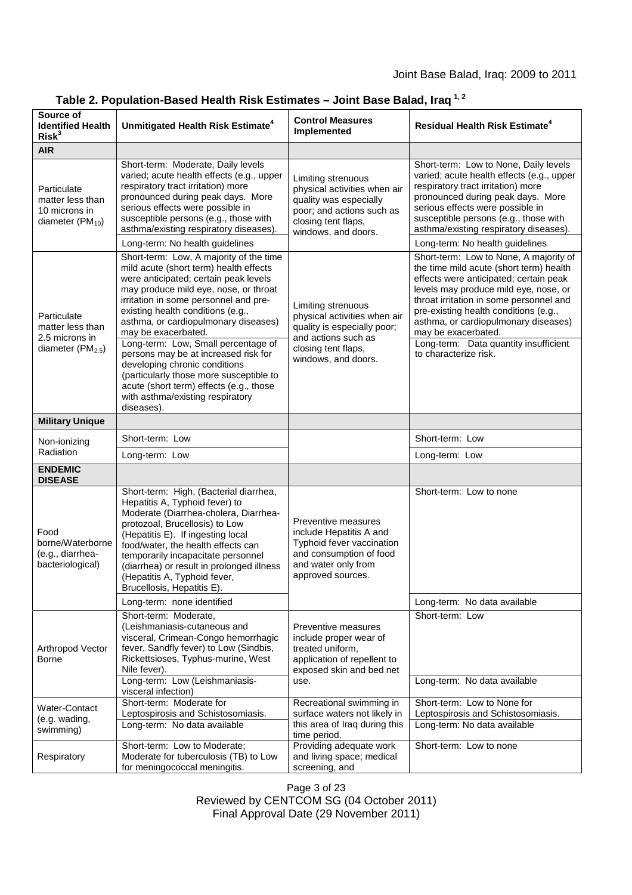### Joint Base Balad, Iraq: 2009 to 2011

| Source of<br><b>Identified Health</b><br>Risk <sup>3</sup>                         | Unmitigated Health Risk Estimate <sup>4</sup>                                                                                                                                                                                                                                                                                                                                   | <b>Control Measures</b><br>Implemented                                                                                                                  | <b>Residual Health Risk Estimate<sup>4</sup></b>                                                                                                                                                                                                                                                                                                                 |
|------------------------------------------------------------------------------------|---------------------------------------------------------------------------------------------------------------------------------------------------------------------------------------------------------------------------------------------------------------------------------------------------------------------------------------------------------------------------------|---------------------------------------------------------------------------------------------------------------------------------------------------------|------------------------------------------------------------------------------------------------------------------------------------------------------------------------------------------------------------------------------------------------------------------------------------------------------------------------------------------------------------------|
| <b>AIR</b>                                                                         |                                                                                                                                                                                                                                                                                                                                                                                 |                                                                                                                                                         |                                                                                                                                                                                                                                                                                                                                                                  |
| Particulate<br>matter less than<br>10 microns in<br>diameter (PM <sub>10</sub> )   | Short-term: Moderate, Daily levels<br>varied; acute health effects (e.g., upper<br>respiratory tract irritation) more<br>pronounced during peak days. More<br>serious effects were possible in<br>susceptible persons (e.g., those with<br>asthma/existing respiratory diseases).                                                                                               | Limiting strenuous<br>physical activities when air<br>quality was especially<br>poor; and actions such as<br>closing tent flaps,<br>windows, and doors. | Short-term: Low to None, Daily levels<br>varied; acute health effects (e.g., upper<br>respiratory tract irritation) more<br>pronounced during peak days. More<br>serious effects were possible in<br>susceptible persons (e.g., those with<br>asthma/existing respiratory diseases).                                                                             |
|                                                                                    | Long-term: No health guidelines                                                                                                                                                                                                                                                                                                                                                 |                                                                                                                                                         | Long-term: No health guidelines                                                                                                                                                                                                                                                                                                                                  |
| Particulate<br>matter less than<br>2.5 microns in<br>diameter (PM <sub>2.5</sub> ) | Short-term: Low, A majority of the time<br>mild acute (short term) health effects<br>were anticipated; certain peak levels<br>may produce mild eye, nose, or throat<br>irritation in some personnel and pre-<br>existing health conditions (e.g.,<br>asthma, or cardiopulmonary diseases)<br>may be exacerbated.<br>Long-term: Low, Small percentage of                         | Limiting strenuous<br>physical activities when air<br>quality is especially poor;<br>and actions such as<br>closing tent flaps,<br>windows, and doors.  | Short-term: Low to None, A majority of<br>the time mild acute (short term) health<br>effects were anticipated; certain peak<br>levels may produce mild eye, nose, or<br>throat irritation in some personnel and<br>pre-existing health conditions (e.g.,<br>asthma, or cardiopulmonary diseases)<br>may be exacerbated.<br>Long-term: Data quantity insufficient |
|                                                                                    | persons may be at increased risk for<br>developing chronic conditions<br>(particularly those more susceptible to<br>acute (short term) effects (e.g., those<br>with asthma/existing respiratory<br>diseases).                                                                                                                                                                   |                                                                                                                                                         | to characterize risk.                                                                                                                                                                                                                                                                                                                                            |
| <b>Military Unique</b>                                                             |                                                                                                                                                                                                                                                                                                                                                                                 |                                                                                                                                                         |                                                                                                                                                                                                                                                                                                                                                                  |
| Non-ionizing<br>Radiation                                                          | Short-term: Low                                                                                                                                                                                                                                                                                                                                                                 |                                                                                                                                                         | Short-term: Low                                                                                                                                                                                                                                                                                                                                                  |
|                                                                                    | Long-term: Low                                                                                                                                                                                                                                                                                                                                                                  |                                                                                                                                                         | Long-term: Low                                                                                                                                                                                                                                                                                                                                                   |
| <b>ENDEMIC</b><br><b>DISEASE</b>                                                   |                                                                                                                                                                                                                                                                                                                                                                                 |                                                                                                                                                         |                                                                                                                                                                                                                                                                                                                                                                  |
| Food<br>borne/Waterborne<br>(e.g., diarrhea-<br>bacteriological)                   | Short-term: High, (Bacterial diarrhea,<br>Hepatitis A, Typhoid fever) to<br>Moderate (Diarrhea-cholera, Diarrhea-<br>protozoal, Brucellosis) to Low<br>(Hepatitis E). If ingesting local<br>food/water, the health effects can<br>temporarily incapacitate personnel<br>(diarrhea) or result in prolonged illness<br>(Hepatitis A, Typhoid fever,<br>Brucellosis, Hepatitis E). | Preventive measures<br>include Hepatitis A and<br>Typhoid fever vaccination<br>and consumption of food<br>and water only from<br>approved sources.      | Short-term: Low to none                                                                                                                                                                                                                                                                                                                                          |
|                                                                                    | Long-term: none identified                                                                                                                                                                                                                                                                                                                                                      |                                                                                                                                                         | Long-term: No data available                                                                                                                                                                                                                                                                                                                                     |
| Arthropod Vector<br>Borne                                                          | Short-term: Moderate,<br>(Leishmaniasis-cutaneous and<br>visceral, Crimean-Congo hemorrhagic<br>fever, Sandfly fever) to Low (Sindbis,<br>Rickettsioses, Typhus-murine, West<br>Nile fever).                                                                                                                                                                                    | Preventive measures<br>include proper wear of<br>treated uniform,<br>application of repellent to<br>exposed skin and bed net                            | Short-term: Low                                                                                                                                                                                                                                                                                                                                                  |
|                                                                                    | Long-term: Low (Leishmaniasis-<br>visceral infection)                                                                                                                                                                                                                                                                                                                           | use.                                                                                                                                                    | Long-term: No data available                                                                                                                                                                                                                                                                                                                                     |
| Water-Contact<br>(e.g. wading,<br>swimming)                                        | Short-term: Moderate for<br>Leptospirosis and Schistosomiasis.<br>Long-term: No data available                                                                                                                                                                                                                                                                                  | Recreational swimming in<br>surface waters not likely in<br>this area of Iraq during this<br>time period.                                               | Short-term: Low to None for<br>Leptospirosis and Schistosomiasis.<br>Long-term: No data available                                                                                                                                                                                                                                                                |
| Respiratory                                                                        | Short-term: Low to Moderate;<br>Moderate for tuberculosis (TB) to Low<br>for meningococcal meningitis.                                                                                                                                                                                                                                                                          | Providing adequate work<br>and living space; medical<br>screening, and                                                                                  | Short-term: Low to none                                                                                                                                                                                                                                                                                                                                          |

# **Table 2. Population-Based Health Risk Estimates – Joint Base Balad, Iraq 1, 2**

Page 3 of 23 Reviewed by CENTCOM SG (04 October 2011) Final Approval Date (29 November 2011)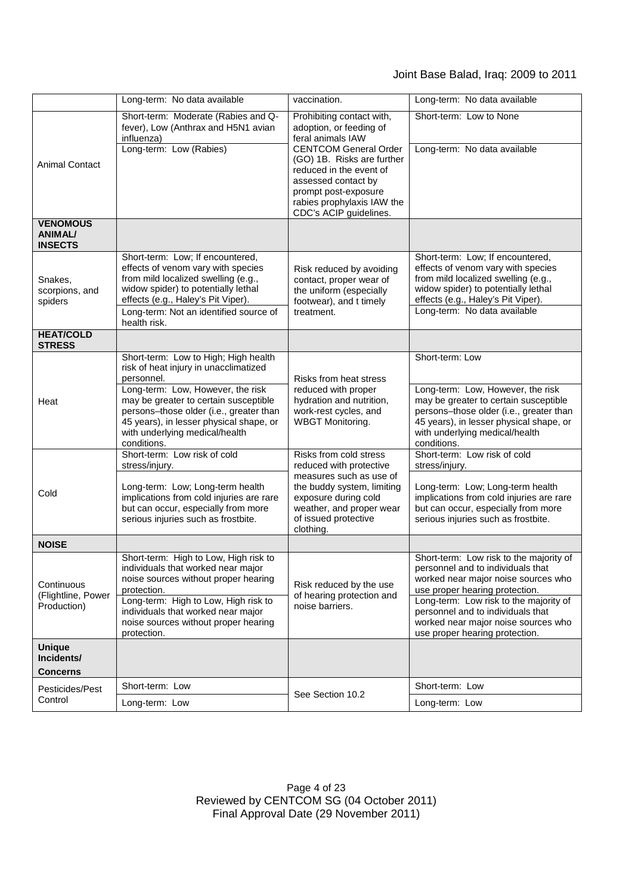# Joint Base Balad, Iraq: 2009 to 2011

|                                                     | Long-term: No data available                                                                                                                                                                                                                                                                                     | vaccination.                                                                                                                                                                                                                                                              | Long-term: No data available                                                                                                                                                                                                                                                                                  |
|-----------------------------------------------------|------------------------------------------------------------------------------------------------------------------------------------------------------------------------------------------------------------------------------------------------------------------------------------------------------------------|---------------------------------------------------------------------------------------------------------------------------------------------------------------------------------------------------------------------------------------------------------------------------|---------------------------------------------------------------------------------------------------------------------------------------------------------------------------------------------------------------------------------------------------------------------------------------------------------------|
| <b>Animal Contact</b>                               | Short-term: Moderate (Rabies and Q-<br>fever), Low (Anthrax and H5N1 avian<br>influenza)<br>Long-term: Low (Rabies)                                                                                                                                                                                              | Prohibiting contact with,<br>adoption, or feeding of<br>feral animals IAW<br><b>CENTCOM General Order</b><br>(GO) 1B. Risks are further<br>reduced in the event of<br>assessed contact by<br>prompt post-exposure<br>rabies prophylaxis IAW the<br>CDC's ACIP guidelines. | Short-term: Low to None<br>Long-term: No data available                                                                                                                                                                                                                                                       |
| <b>VENOMOUS</b><br><b>ANIMAL/</b><br><b>INSECTS</b> |                                                                                                                                                                                                                                                                                                                  |                                                                                                                                                                                                                                                                           |                                                                                                                                                                                                                                                                                                               |
| Snakes,<br>scorpions, and<br>spiders                | Short-term: Low; If encountered,<br>effects of venom vary with species<br>from mild localized swelling (e.g.,<br>widow spider) to potentially lethal<br>effects (e.g., Haley's Pit Viper).<br>Long-term: Not an identified source of<br>health risk.                                                             | Risk reduced by avoiding<br>contact, proper wear of<br>the uniform (especially<br>footwear), and t timely<br>treatment.                                                                                                                                                   | Short-term: Low; If encountered,<br>effects of venom vary with species<br>from mild localized swelling (e.g.,<br>widow spider) to potentially lethal<br>effects (e.g., Haley's Pit Viper).<br>Long-term: No data available                                                                                    |
| <b>HEAT/COLD</b><br><b>STRESS</b>                   |                                                                                                                                                                                                                                                                                                                  |                                                                                                                                                                                                                                                                           |                                                                                                                                                                                                                                                                                                               |
| Heat                                                | Short-term: Low to High; High health<br>risk of heat injury in unacclimatized<br>personnel.<br>Long-term: Low, However, the risk<br>may be greater to certain susceptible<br>persons-those older (i.e., greater than<br>45 years), in lesser physical shape, or<br>with underlying medical/health<br>conditions. | Risks from heat stress<br>reduced with proper<br>hydration and nutrition,<br>work-rest cycles, and<br><b>WBGT Monitoring.</b>                                                                                                                                             | Short-term: Low<br>Long-term: Low, However, the risk<br>may be greater to certain susceptible<br>persons-those older (i.e., greater than<br>45 years), in lesser physical shape, or<br>with underlying medical/health<br>conditions.                                                                          |
| Cold                                                | Short-term: Low risk of cold<br>stress/injury.<br>Long-term: Low; Long-term health<br>implications from cold injuries are rare<br>but can occur, especially from more<br>serious injuries such as frostbite.                                                                                                     | Risks from cold stress<br>reduced with protective<br>measures such as use of<br>the buddy system, limiting<br>exposure during cold<br>weather, and proper wear<br>of issued protective<br>clothing.                                                                       | Short-term: Low risk of cold<br>stress/injury.<br>Long-term: Low; Long-term health<br>implications from cold injuries are rare<br>but can occur, especially from more<br>serious injuries such as frostbite.                                                                                                  |
| <b>NOISE</b>                                        |                                                                                                                                                                                                                                                                                                                  |                                                                                                                                                                                                                                                                           |                                                                                                                                                                                                                                                                                                               |
| Continuous<br>(Flightline, Power<br>Production)     | Short-term: High to Low, High risk to<br>individuals that worked near major<br>noise sources without proper hearing<br>protection.<br>Long-term: High to Low, High risk to<br>individuals that worked near major<br>noise sources without proper hearing<br>protection.                                          | Risk reduced by the use<br>of hearing protection and<br>noise barriers.                                                                                                                                                                                                   | Short-term: Low risk to the majority of<br>personnel and to individuals that<br>worked near major noise sources who<br>use proper hearing protection.<br>Long-term: Low risk to the majority of<br>personnel and to individuals that<br>worked near major noise sources who<br>use proper hearing protection. |
| <b>Unique</b><br>Incidents/<br><b>Concerns</b>      |                                                                                                                                                                                                                                                                                                                  |                                                                                                                                                                                                                                                                           |                                                                                                                                                                                                                                                                                                               |
| Pesticides/Pest<br>Control                          | Short-term: Low<br>Long-term: Low                                                                                                                                                                                                                                                                                | See Section 10.2                                                                                                                                                                                                                                                          | Short-term: Low<br>Long-term: Low                                                                                                                                                                                                                                                                             |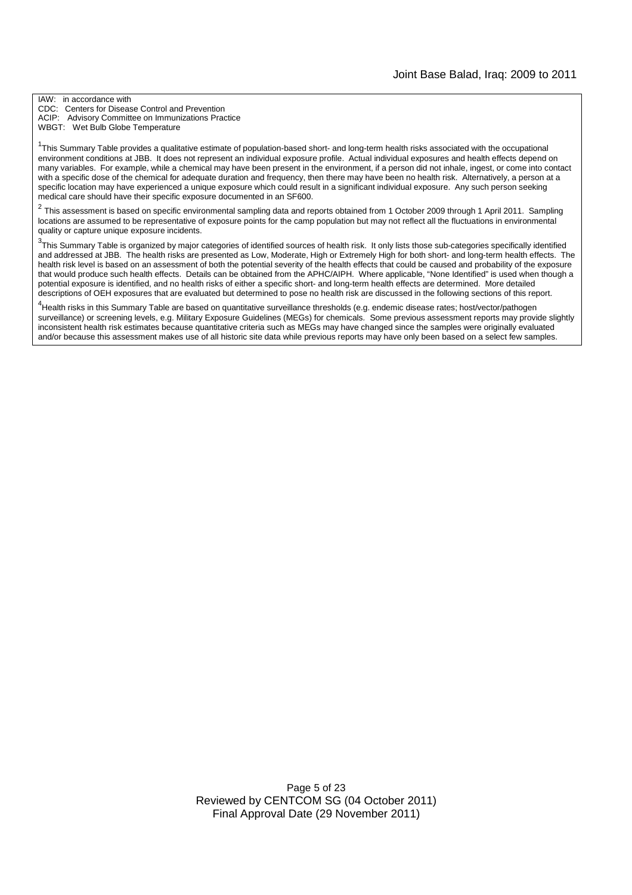IAW: in accordance with CDC: Centers for Disease Control and Prevention ACIP: Advisory Committee on Immunizations Practice WBGT: Wet Bulb Globe Temperature

<sup>1</sup>This Summary Table provides a qualitative estimate of population-based short- and long-term health risks associated with the occupational environment conditions at JBB. It does not represent an individual exposure profile. Actual individual exposures and health effects depend on many variables. For example, while a chemical may have been present in the environment, if a person did not inhale, ingest, or come into contact with a specific dose of the chemical for adequate duration and frequency, then there may have been no health risk. Alternatively, a person at a specific location may have experienced a unique exposure which could result in a significant individual exposure. Any such person seeking medical care should have their specific exposure documented in an SF600.

2 This assessment is based on specific environmental sampling data and reports obtained from 1 October 2009 through 1 April 2011. Sampling locations are assumed to be representative of exposure points for the camp population but may not reflect all the fluctuations in environmental quality or capture unique exposure incidents.

 $3$ This Summary Table is organized by major categories of identified sources of health risk. It only lists those sub-categories specifically identified and addressed at JBB. The health risks are presented as Low, Moderate, High or Extremely High for both short- and long-term health effects. The health risk level is based on an assessment of both the potential severity of the health effects that could be caused and probability of the exposure that would produce such health effects. Details can be obtained from the APHC/AIPH. Where applicable, "None Identified" is used when though a potential exposure is identified, and no health risks of either a specific short- and long-term health effects are determined. More detailed descriptions of OEH exposures that are evaluated but determined to pose no health risk are discussed in the following sections of this report.

4 Health risks in this Summary Table are based on quantitative surveillance thresholds (e.g. endemic disease rates; host/vector/pathogen surveillance) or screening levels, e.g. Military Exposure Guidelines (MEGs) for chemicals*.* Some previous assessment reports may provide slightly inconsistent health risk estimates because quantitative criteria such as MEGs may have changed since the samples were originally evaluated and/or because this assessment makes use of all historic site data while previous reports may have only been based on a select few samples.

> Page 5 of 23 Reviewed by CENTCOM SG (04 October 2011) Final Approval Date (29 November 2011)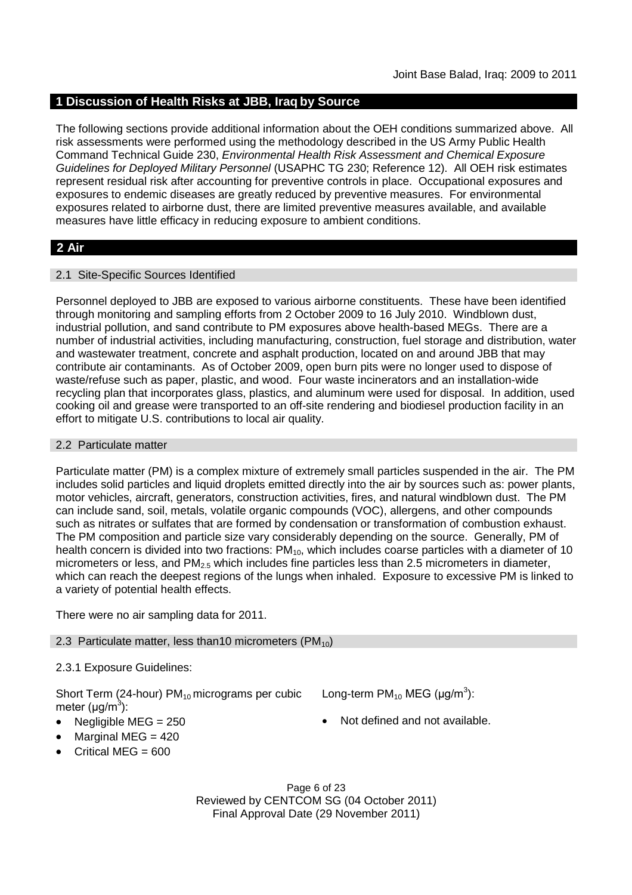### **1 Discussion of Health Risks at JBB, Iraq by Source**

The following sections provide additional information about the OEH conditions summarized above. All risk assessments were performed using the methodology described in the US Army Public Health Command Technical Guide 230, *Environmental Health Risk Assessment and Chemical Exposure Guidelines for Deployed Military Personnel* (USAPHC TG 230; Reference 12). All OEH risk estimates represent residual risk after accounting for preventive controls in place. Occupational exposures and exposures to endemic diseases are greatly reduced by preventive measures. For environmental exposures related to airborne dust, there are limited preventive measures available, and available measures have little efficacy in reducing exposure to ambient conditions.

### **2 Air**

### 2.1 Site-Specific Sources Identified

Personnel deployed to JBB are exposed to various airborne constituents. These have been identified through monitoring and sampling efforts from 2 October 2009 to 16 July 2010. Windblown dust, industrial pollution, and sand contribute to PM exposures above health-based MEGs. There are a number of industrial activities, including manufacturing, construction, fuel storage and distribution, water and wastewater treatment, concrete and asphalt production, located on and around JBB that may contribute air contaminants. As of October 2009, open burn pits were no longer used to dispose of waste/refuse such as paper, plastic, and wood. Four waste incinerators and an installation-wide recycling plan that incorporates glass, plastics, and aluminum were used for disposal. In addition, used cooking oil and grease were transported to an off-site rendering and biodiesel production facility in an effort to mitigate U.S. contributions to local air quality.

#### 2.2 Particulate matter

Particulate matter (PM) is a complex mixture of extremely small particles suspended in the air. The PM includes solid particles and liquid droplets emitted directly into the air by sources such as: power plants, motor vehicles, aircraft, generators, construction activities, fires, and natural windblown dust. The PM can include sand, soil, metals, volatile organic compounds (VOC), allergens, and other compounds such as nitrates or sulfates that are formed by condensation or transformation of combustion exhaust. The PM composition and particle size vary considerably depending on the source. Generally, PM of health concern is divided into two fractions:  $PM_{10}$ , which includes coarse particles with a diameter of 10 micrometers or less, and  $PM_{2.5}$  which includes fine particles less than 2.5 micrometers in diameter, which can reach the deepest regions of the lungs when inhaled. Exposure to excessive PM is linked to a variety of potential health effects.

There were no air sampling data for 2011.

### 2.3 Particulate matter, less than 10 micrometers ( $PM_{10}$ )

### 2.3.1 Exposure Guidelines:

Short Term (24-hour)  $PM_{10}$  micrograms per cubic meter (μg/m<sup>3</sup>):

- 
- Marginal MEG  $=$  420
- Critical MEG =  $600$

Long-term  $PM_{10}$  MEG (µg/m<sup>3</sup>):

Negligible MEG = 250 **Not defined and not available.** 

Page 6 of 23 Reviewed by CENTCOM SG (04 October 2011) Final Approval Date (29 November 2011)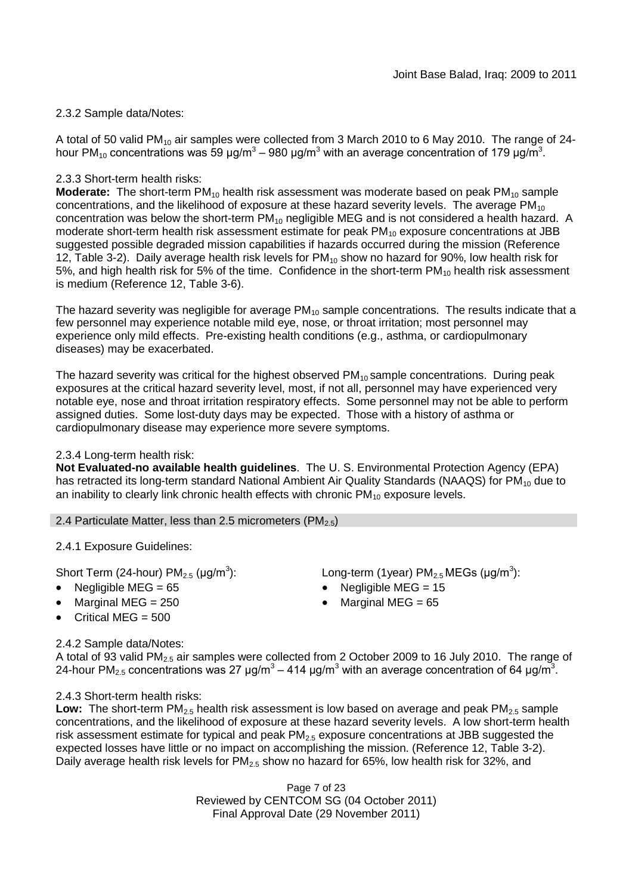### 2.3.2 Sample data/Notes:

A total of 50 valid PM $_{10}$  air samples were collected from 3 March 2010 to 6 May 2010. The range of 24hour PM<sub>10</sub> concentrations was 59 μg/m<sup>3</sup> – 980 μg/m<sup>3</sup> with an average concentration of 179 μg/m<sup>3</sup>.

### 2.3.3 Short-term health risks:

**Moderate:** The short-term PM<sub>10</sub> health risk assessment was moderate based on peak PM<sub>10</sub> sample concentrations, and the likelihood of exposure at these hazard severity levels. The average  $PM_{10}$ concentration was below the short-term PM<sub>10</sub> negligible MEG and is not considered a health hazard. A moderate short-term health risk assessment estimate for peak  $PM_{10}$  exposure concentrations at JBB suggested possible degraded mission capabilities if hazards occurred during the mission (Reference 12, Table 3-2). Daily average health risk levels for  $PM_{10}$  show no hazard for 90%, low health risk for 5%, and high health risk for 5% of the time. Confidence in the short-term  $PM_{10}$  health risk assessment is medium (Reference 12, Table 3-6).

The hazard severity was negligible for average  $PM_{10}$  sample concentrations. The results indicate that a few personnel may experience notable mild eye, nose, or throat irritation; most personnel may experience only mild effects. Pre-existing health conditions (e.g., asthma, or cardiopulmonary diseases) may be exacerbated.

The hazard severity was critical for the highest observed  $PM_{10}$  sample concentrations. During peak exposures at the critical hazard severity level, most, if not all, personnel may have experienced very notable eye, nose and throat irritation respiratory effects. Some personnel may not be able to perform assigned duties. Some lost-duty days may be expected. Those with a history of asthma or cardiopulmonary disease may experience more severe symptoms.

### 2.3.4 Long-term health risk:

**Not Evaluated-no available health guidelines**. The U. S. Environmental Protection Agency (EPA) has retracted its long-term standard National Ambient Air Quality Standards (NAAQS) for PM<sub>10</sub> due to an inability to clearly link chronic health effects with chronic  $PM_{10}$  exposure levels.

### 2.4 Particulate Matter, less than 2.5 micrometers (PM $_{2.5}$ )

2.4.1 Exposure Guidelines:

Short Term (24-hour) PM $_{2.5}$  (µg/m $^3$ 

- 
- 
- Critical MEG  $= 500$

### 2.4.2 Sample data/Notes:

A total of 93 valid PM2.5 air samples were collected from 2 October 2009 to 16 July 2010. The range of 24-hour PM<sub>2.5</sub> concentrations was 27 μg/m<sup>3</sup> – 414 μg/m<sup>3</sup> with an average concentration of 64 μg/m<sup>3</sup>.

### 2.4.3 Short-term health risks:

**Low:** The short-term  $PM_{2.5}$  health risk assessment is low based on average and peak  $PM_{2.5}$  sample concentrations, and the likelihood of exposure at these hazard severity levels. A low short-term health risk assessment estimate for typical and peak  $PM<sub>2.5</sub>$  exposure concentrations at JBB suggested the expected losses have little or no impact on accomplishing the mission. (Reference 12, Table 3-2). Daily average health risk levels for  $PM<sub>2.5</sub>$  show no hazard for 65%, low health risk for 32%, and

> Page 7 of 23 Reviewed by CENTCOM SG (04 October 2011) Final Approval Date (29 November 2011)

- ): Long-term (1year)  $PM_{2.5}$ MEGs (µg/m<sup>3</sup>):
- Negligible MEG = 65 Negligible MEG = 15
- Marginal MEG =  $250$   $\bullet$  Marginal MEG =  $65$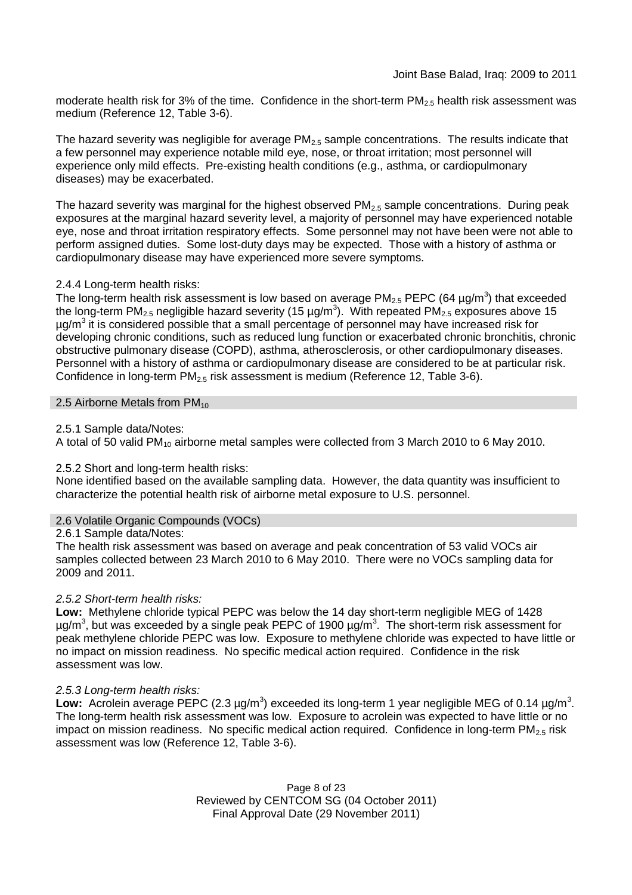moderate health risk for 3% of the time. Confidence in the short-term  $PM<sub>2.5</sub>$  health risk assessment was medium (Reference 12, Table 3-6).

The hazard severity was negligible for average  $PM_{2.5}$  sample concentrations. The results indicate that a few personnel may experience notable mild eye, nose, or throat irritation; most personnel will experience only mild effects. Pre-existing health conditions (e.g., asthma, or cardiopulmonary diseases) may be exacerbated.

The hazard severity was marginal for the highest observed  $PM_{2.5}$  sample concentrations. During peak exposures at the marginal hazard severity level, a majority of personnel may have experienced notable eye, nose and throat irritation respiratory effects. Some personnel may not have been were not able to perform assigned duties. Some lost-duty days may be expected. Those with a history of asthma or cardiopulmonary disease may have experienced more severe symptoms.

### 2.4.4 Long-term health risks:

The long-term health risk assessment is low based on average PM<sub>2.5</sub> PEPC (64  $\mu$ g/m<sup>3</sup>) that exceeded the long-term PM<sub>2.5</sub> negligible hazard severity (15 µg/m<sup>3</sup>). With repeated PM<sub>2.5</sub> exposures above 15  $\mu$ g/m<sup>3</sup> it is considered possible that a small percentage of personnel may have increased risk for developing chronic conditions, such as reduced lung function or exacerbated chronic bronchitis, chronic obstructive pulmonary disease (COPD), asthma, atherosclerosis, or other cardiopulmonary diseases. Personnel with a history of asthma or cardiopulmonary disease are considered to be at particular risk. Confidence in long-term  $PM_{2.5}$  risk assessment is medium (Reference 12, Table 3-6).

### 2.5 Airborne Metals from  $PM_{10}$

### 2.5.1 Sample data/Notes:

A total of 50 valid PM<sup>10</sup> airborne metal samples were collected from 3 March 2010 to 6 May 2010.

### 2.5.2 Short and long-term health risks:

None identified based on the available sampling data. However, the data quantity was insufficient to characterize the potential health risk of airborne metal exposure to U.S. personnel.

### 2.6 Volatile Organic Compounds (VOCs)

2.6.1 Sample data/Notes:

The health risk assessment was based on average and peak concentration of 53 valid VOCs air samples collected between 23 March 2010 to 6 May 2010. There were no VOCs sampling data for 2009 and 2011.

### *2.5.2 Short-term health risks:*

**Low:** Methylene chloride typical PEPC was below the 14 day short-term negligible MEG of 1428  $\mu$ g/m<sup>3</sup>, but was exceeded by a single peak PEPC of 1900  $\mu$ g/m<sup>3</sup>. The short-term risk assessment for peak methylene chloride PEPC was low. Exposure to methylene chloride was expected to have little or no impact on mission readiness. No specific medical action required. Confidence in the risk assessment was low.

### *2.5.3 Long-term health risks:*

Low: Acrolein average PEPC (2.3 µg/m<sup>3</sup>) exceeded its long-term 1 year negligible MEG of 0.14 µg/m<sup>3</sup>. The long-term health risk assessment was low. Exposure to acrolein was expected to have little or no impact on mission readiness. No specific medical action required. Confidence in long-term  $PM<sub>2.5</sub>$  risk assessment was low (Reference 12, Table 3-6).

> Page 8 of 23 Reviewed by CENTCOM SG (04 October 2011) Final Approval Date (29 November 2011)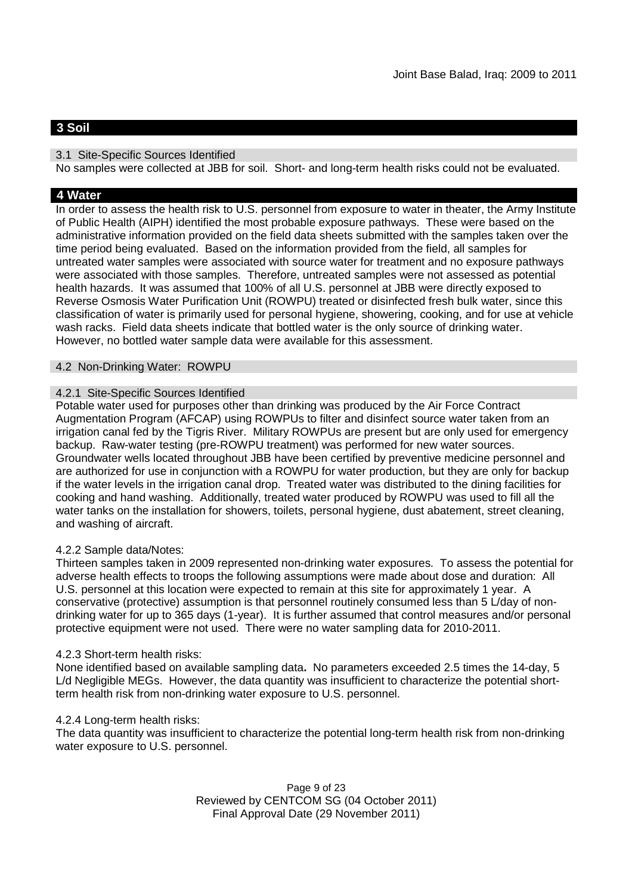# **3 Soil**

### 3.1 Site-Specific Sources Identified

No samples were collected at JBB for soil. Short- and long-term health risks could not be evaluated.

### **4 Water**

In order to assess the health risk to U.S. personnel from exposure to water in theater, the Army Institute of Public Health (AIPH) identified the most probable exposure pathways. These were based on the administrative information provided on the field data sheets submitted with the samples taken over the time period being evaluated. Based on the information provided from the field, all samples for untreated water samples were associated with source water for treatment and no exposure pathways were associated with those samples. Therefore, untreated samples were not assessed as potential health hazards. It was assumed that 100% of all U.S. personnel at JBB were directly exposed to Reverse Osmosis Water Purification Unit (ROWPU) treated or disinfected fresh bulk water, since this classification of water is primarily used for personal hygiene, showering, cooking, and for use at vehicle wash racks. Field data sheets indicate that bottled water is the only source of drinking water. However, no bottled water sample data were available for this assessment.

### 4.2 Non-Drinking Water: ROWPU

### 4.2.1 Site-Specific Sources Identified

Potable water used for purposes other than drinking was produced by the Air Force Contract Augmentation Program (AFCAP) using ROWPUs to filter and disinfect source water taken from an irrigation canal fed by the Tigris River. Military ROWPUs are present but are only used for emergency backup. Raw-water testing (pre-ROWPU treatment) was performed for new water sources. Groundwater wells located throughout JBB have been certified by preventive medicine personnel and are authorized for use in conjunction with a ROWPU for water production, but they are only for backup if the water levels in the irrigation canal drop. Treated water was distributed to the dining facilities for cooking and hand washing. Additionally, treated water produced by ROWPU was used to fill all the water tanks on the installation for showers, toilets, personal hygiene, dust abatement, street cleaning, and washing of aircraft.

### 4.2.2 Sample data/Notes:

Thirteen samples taken in 2009 represented non-drinking water exposures. To assess the potential for adverse health effects to troops the following assumptions were made about dose and duration: All U.S. personnel at this location were expected to remain at this site for approximately 1 year. A conservative (protective) assumption is that personnel routinely consumed less than 5 L/day of nondrinking water for up to 365 days (1-year). It is further assumed that control measures and/or personal protective equipment were not used. There were no water sampling data for 2010-2011.

### 4.2.3 Short-term health risks:

None identified based on available sampling data**.** No parameters exceeded 2.5 times the 14-day, 5 L/d Negligible MEGs. However, the data quantity was insufficient to characterize the potential shortterm health risk from non-drinking water exposure to U.S. personnel.

### 4.2.4 Long-term health risks:

The data quantity was insufficient to characterize the potential long-term health risk from non-drinking water exposure to U.S. personnel.

> Page 9 of 23 Reviewed by CENTCOM SG (04 October 2011) Final Approval Date (29 November 2011)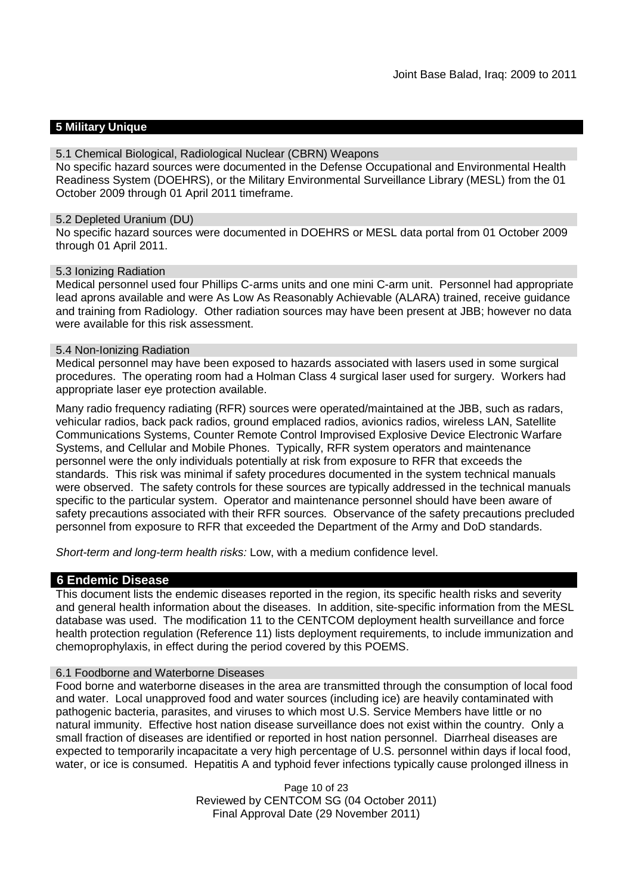### **5 Military Unique**

#### 5.1 Chemical Biological, Radiological Nuclear (CBRN) Weapons

No specific hazard sources were documented in the Defense Occupational and Environmental Health Readiness System (DOEHRS), or the Military Environmental Surveillance Library (MESL) from the 01 October 2009 through 01 April 2011 timeframe.

#### 5.2 Depleted Uranium (DU)

No specific hazard sources were documented in DOEHRS or MESL data portal from 01 October 2009 through 01 April 2011.

#### 5.3 Ionizing Radiation

Medical personnel used four Phillips C-arms units and one mini C-arm unit. Personnel had appropriate lead aprons available and were As Low As Reasonably Achievable (ALARA) trained, receive guidance and training from Radiology. Other radiation sources may have been present at JBB; however no data were available for this risk assessment.

#### 5.4 Non-Ionizing Radiation

Medical personnel may have been exposed to hazards associated with lasers used in some surgical procedures. The operating room had a Holman Class 4 surgical laser used for surgery. Workers had appropriate laser eye protection available.

Many radio frequency radiating (RFR) sources were operated/maintained at the JBB, such as radars, vehicular radios, back pack radios, ground emplaced radios, avionics radios, wireless LAN, Satellite Communications Systems, Counter Remote Control Improvised Explosive Device Electronic Warfare Systems, and Cellular and Mobile Phones. Typically, RFR system operators and maintenance personnel were the only individuals potentially at risk from exposure to RFR that exceeds the standards. This risk was minimal if safety procedures documented in the system technical manuals were observed. The safety controls for these sources are typically addressed in the technical manuals specific to the particular system. Operator and maintenance personnel should have been aware of safety precautions associated with their RFR sources. Observance of the safety precautions precluded personnel from exposure to RFR that exceeded the Department of the Army and DoD standards.

*Short-term and long-term health risks:* Low, with a medium confidence level.

### **6 Endemic Disease**

This document lists the endemic diseases reported in the region, its specific health risks and severity and general health information about the diseases. In addition, site-specific information from the MESL database was used. The modification 11 to the CENTCOM deployment health surveillance and force health protection regulation (Reference 11) lists deployment requirements, to include immunization and chemoprophylaxis, in effect during the period covered by this POEMS.

### 6.1 Foodborne and Waterborne Diseases

Food borne and waterborne diseases in the area are transmitted through the consumption of local food and water. Local unapproved food and water sources (including ice) are heavily contaminated with pathogenic bacteria, parasites, and viruses to which most U.S. Service Members have little or no natural immunity. Effective host nation disease surveillance does not exist within the country. Only a small fraction of diseases are identified or reported in host nation personnel. Diarrheal diseases are expected to temporarily incapacitate a very high percentage of U.S. personnel within days if local food, water, or ice is consumed. Hepatitis A and typhoid fever infections typically cause prolonged illness in

> Page 10 of 23 Reviewed by CENTCOM SG (04 October 2011) Final Approval Date (29 November 2011)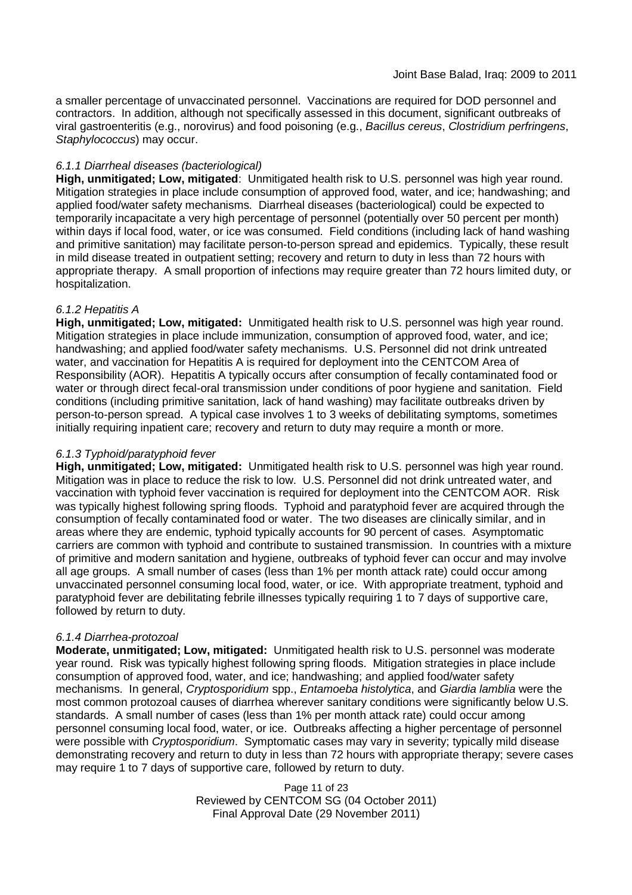a smaller percentage of unvaccinated personnel. Vaccinations are required for DOD personnel and contractors. In addition, although not specifically assessed in this document, significant outbreaks of viral gastroenteritis (e.g., norovirus) and food poisoning (e.g., *Bacillus cereus*, *Clostridium perfringens*, *Staphylococcus*) may occur.

### *6.1.1 Diarrheal diseases (bacteriological)*

**High, unmitigated; Low, mitigated**: Unmitigated health risk to U.S. personnel was high year round. Mitigation strategies in place include consumption of approved food, water, and ice; handwashing; and applied food/water safety mechanisms. Diarrheal diseases (bacteriological) could be expected to temporarily incapacitate a very high percentage of personnel (potentially over 50 percent per month) within days if local food, water, or ice was consumed. Field conditions (including lack of hand washing and primitive sanitation) may facilitate person-to-person spread and epidemics. Typically, these result in mild disease treated in outpatient setting; recovery and return to duty in less than 72 hours with appropriate therapy. A small proportion of infections may require greater than 72 hours limited duty, or hospitalization.

### *6.1.2 Hepatitis A*

**High, unmitigated; Low, mitigated:** Unmitigated health risk to U.S. personnel was high year round. Mitigation strategies in place include immunization, consumption of approved food, water, and ice; handwashing; and applied food/water safety mechanisms. U.S. Personnel did not drink untreated water, and vaccination for Hepatitis A is required for deployment into the CENTCOM Area of Responsibility (AOR). Hepatitis A typically occurs after consumption of fecally contaminated food or water or through direct fecal-oral transmission under conditions of poor hygiene and sanitation. Field conditions (including primitive sanitation, lack of hand washing) may facilitate outbreaks driven by person-to-person spread. A typical case involves 1 to 3 weeks of debilitating symptoms, sometimes initially requiring inpatient care; recovery and return to duty may require a month or more.

### *6.1.3 Typhoid/paratyphoid fever*

**High, unmitigated; Low, mitigated:** Unmitigated health risk to U.S. personnel was high year round. Mitigation was in place to reduce the risk to low. U.S. Personnel did not drink untreated water, and vaccination with typhoid fever vaccination is required for deployment into the CENTCOM AOR. Risk was typically highest following spring floods. Typhoid and paratyphoid fever are acquired through the consumption of fecally contaminated food or water. The two diseases are clinically similar, and in areas where they are endemic, typhoid typically accounts for 90 percent of cases. Asymptomatic carriers are common with typhoid and contribute to sustained transmission. In countries with a mixture of primitive and modern sanitation and hygiene, outbreaks of typhoid fever can occur and may involve all age groups. A small number of cases (less than 1% per month attack rate) could occur among unvaccinated personnel consuming local food, water, or ice. With appropriate treatment, typhoid and paratyphoid fever are debilitating febrile illnesses typically requiring 1 to 7 days of supportive care, followed by return to duty.

### *6.1.4 Diarrhea-protozoal*

**Moderate, unmitigated; Low, mitigated:** Unmitigated health risk to U.S. personnel was moderate year round. Risk was typically highest following spring floods. Mitigation strategies in place include consumption of approved food, water, and ice; handwashing; and applied food/water safety mechanisms. In general, *Cryptosporidium* spp., *Entamoeba histolytica*, and *Giardia lamblia* were the most common protozoal causes of diarrhea wherever sanitary conditions were significantly below U.S. standards. A small number of cases (less than 1% per month attack rate) could occur among personnel consuming local food, water, or ice. Outbreaks affecting a higher percentage of personnel were possible with *Cryptosporidium*. Symptomatic cases may vary in severity; typically mild disease demonstrating recovery and return to duty in less than 72 hours with appropriate therapy; severe cases may require 1 to 7 days of supportive care, followed by return to duty.

> Page 11 of 23 Reviewed by CENTCOM SG (04 October 2011) Final Approval Date (29 November 2011)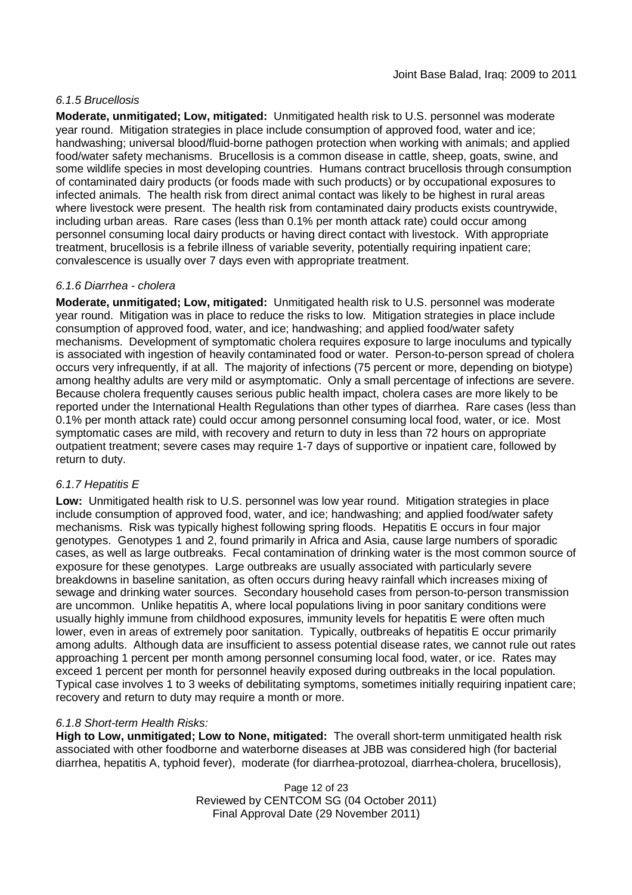### *6.1.5 Brucellosis*

**Moderate, unmitigated; Low, mitigated:** Unmitigated health risk to U.S. personnel was moderate year round. Mitigation strategies in place include consumption of approved food, water and ice; handwashing; universal blood/fluid-borne pathogen protection when working with animals; and applied food/water safety mechanisms. Brucellosis is a common disease in cattle, sheep, goats, swine, and some wildlife species in most developing countries. Humans contract brucellosis through consumption of contaminated dairy products (or foods made with such products) or by occupational exposures to infected animals. The health risk from direct animal contact was likely to be highest in rural areas where livestock were present. The health risk from contaminated dairy products exists countrywide, including urban areas. Rare cases (less than 0.1% per month attack rate) could occur among personnel consuming local dairy products or having direct contact with livestock. With appropriate treatment, brucellosis is a febrile illness of variable severity, potentially requiring inpatient care; convalescence is usually over 7 days even with appropriate treatment.

### *6.1.6 Diarrhea - cholera*

**Moderate, unmitigated; Low, mitigated:** Unmitigated health risk to U.S. personnel was moderate year round. Mitigation was in place to reduce the risks to low. Mitigation strategies in place include consumption of approved food, water, and ice; handwashing; and applied food/water safety mechanisms. Development of symptomatic cholera requires exposure to large inoculums and typically is associated with ingestion of heavily contaminated food or water. Person-to-person spread of cholera occurs very infrequently, if at all. The majority of infections (75 percent or more, depending on biotype) among healthy adults are very mild or asymptomatic. Only a small percentage of infections are severe. Because cholera frequently causes serious public health impact, cholera cases are more likely to be reported under the International Health Regulations than other types of diarrhea. Rare cases (less than 0.1% per month attack rate) could occur among personnel consuming local food, water, or ice. Most symptomatic cases are mild, with recovery and return to duty in less than 72 hours on appropriate outpatient treatment; severe cases may require 1-7 days of supportive or inpatient care, followed by return to duty.

### *6.1.7 Hepatitis E*

**Low:** Unmitigated health risk to U.S. personnel was low year round. Mitigation strategies in place include consumption of approved food, water, and ice; handwashing; and applied food/water safety mechanisms. Risk was typically highest following spring floods. Hepatitis E occurs in four major genotypes. Genotypes 1 and 2, found primarily in Africa and Asia, cause large numbers of sporadic cases, as well as large outbreaks. Fecal contamination of drinking water is the most common source of exposure for these genotypes. Large outbreaks are usually associated with particularly severe breakdowns in baseline sanitation, as often occurs during heavy rainfall which increases mixing of sewage and drinking water sources. Secondary household cases from person-to-person transmission are uncommon. Unlike hepatitis A, where local populations living in poor sanitary conditions were usually highly immune from childhood exposures, immunity levels for hepatitis E were often much lower, even in areas of extremely poor sanitation. Typically, outbreaks of hepatitis E occur primarily among adults. Although data are insufficient to assess potential disease rates, we cannot rule out rates approaching 1 percent per month among personnel consuming local food, water, or ice. Rates may exceed 1 percent per month for personnel heavily exposed during outbreaks in the local population. Typical case involves 1 to 3 weeks of debilitating symptoms, sometimes initially requiring inpatient care; recovery and return to duty may require a month or more.

### *6.1.8 Short-term Health Risks:*

**High to Low, unmitigated; Low to None, mitigated:** The overall short-term unmitigated health risk associated with other foodborne and waterborne diseases at JBB was considered high (for bacterial diarrhea, hepatitis A, typhoid fever), moderate (for diarrhea-protozoal, diarrhea-cholera, brucellosis),

> Page 12 of 23 Reviewed by CENTCOM SG (04 October 2011) Final Approval Date (29 November 2011)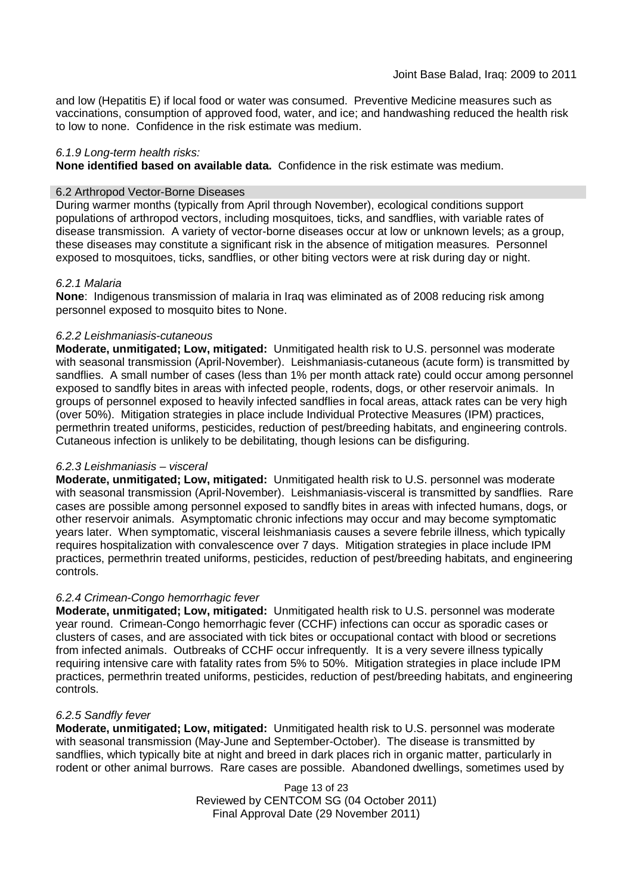and low (Hepatitis E) if local food or water was consumed. Preventive Medicine measures such as vaccinations, consumption of approved food, water, and ice; and handwashing reduced the health risk to low to none. Confidence in the risk estimate was medium.

### *6.1.9 Long-term health risks:*

**None identified based on available data.** Confidence in the risk estimate was medium.

### 6.2 Arthropod Vector-Borne Diseases

During warmer months (typically from April through November), ecological conditions support populations of arthropod vectors, including mosquitoes, ticks, and sandflies, with variable rates of disease transmission. A variety of vector-borne diseases occur at low or unknown levels; as a group, these diseases may constitute a significant risk in the absence of mitigation measures. Personnel exposed to mosquitoes, ticks, sandflies, or other biting vectors were at risk during day or night.

### *6.2.1 Malaria*

**None**: Indigenous transmission of malaria in Iraq was eliminated as of 2008 reducing risk among personnel exposed to mosquito bites to None.

### *6.2.2 Leishmaniasis-cutaneous*

**Moderate, unmitigated; Low, mitigated:** Unmitigated health risk to U.S. personnel was moderate with seasonal transmission (April-November). Leishmaniasis-cutaneous (acute form) is transmitted by sandflies. A small number of cases (less than 1% per month attack rate) could occur among personnel exposed to sandfly bites in areas with infected people, rodents, dogs, or other reservoir animals. In groups of personnel exposed to heavily infected sandflies in focal areas, attack rates can be very high (over 50%). Mitigation strategies in place include Individual Protective Measures (IPM) practices, permethrin treated uniforms, pesticides, reduction of pest/breeding habitats, and engineering controls. Cutaneous infection is unlikely to be debilitating, though lesions can be disfiguring.

### *6.2.3 Leishmaniasis – visceral*

**Moderate, unmitigated; Low, mitigated:** Unmitigated health risk to U.S. personnel was moderate with seasonal transmission (April-November). Leishmaniasis-visceral is transmitted by sandflies. Rare cases are possible among personnel exposed to sandfly bites in areas with infected humans, dogs, or other reservoir animals. Asymptomatic chronic infections may occur and may become symptomatic years later. When symptomatic, visceral leishmaniasis causes a severe febrile illness, which typically requires hospitalization with convalescence over 7 days. Mitigation strategies in place include IPM practices, permethrin treated uniforms, pesticides, reduction of pest/breeding habitats, and engineering controls.

### *6.2.4 Crimean-Congo hemorrhagic fever*

**Moderate, unmitigated; Low, mitigated:** Unmitigated health risk to U.S. personnel was moderate year round. Crimean-Congo hemorrhagic fever (CCHF) infections can occur as sporadic cases or clusters of cases, and are associated with tick bites or occupational contact with blood or secretions from infected animals. Outbreaks of CCHF occur infrequently. It is a very severe illness typically requiring intensive care with fatality rates from 5% to 50%. Mitigation strategies in place include IPM practices, permethrin treated uniforms, pesticides, reduction of pest/breeding habitats, and engineering controls.

### *6.2.5 Sandfly fever*

**Moderate, unmitigated; Low, mitigated:** Unmitigated health risk to U.S. personnel was moderate with seasonal transmission (May-June and September-October). The disease is transmitted by sandflies, which typically bite at night and breed in dark places rich in organic matter, particularly in rodent or other animal burrows. Rare cases are possible. Abandoned dwellings, sometimes used by

> Page 13 of 23 Reviewed by CENTCOM SG (04 October 2011) Final Approval Date (29 November 2011)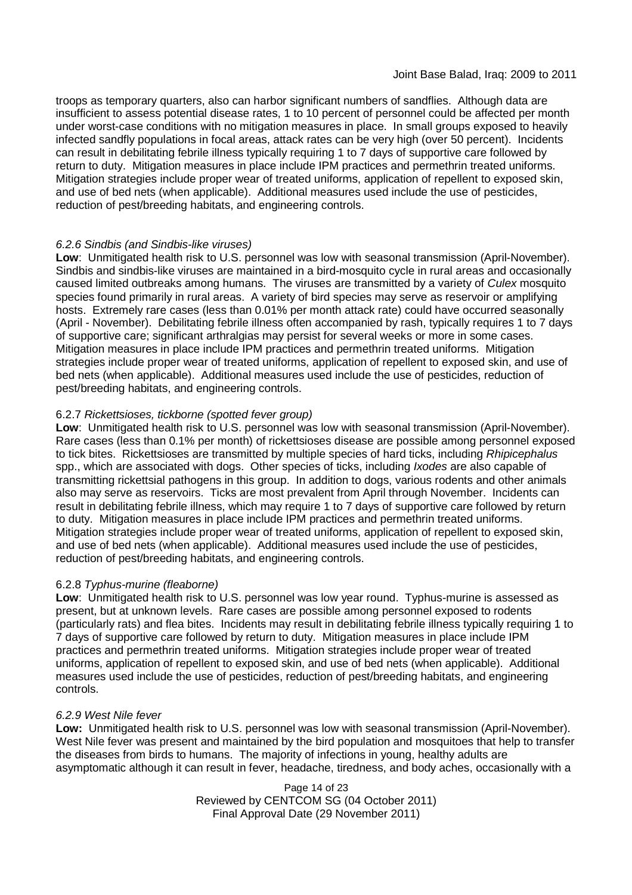troops as temporary quarters, also can harbor significant numbers of sandflies. Although data are insufficient to assess potential disease rates, 1 to 10 percent of personnel could be affected per month under worst-case conditions with no mitigation measures in place. In small groups exposed to heavily infected sandfly populations in focal areas, attack rates can be very high (over 50 percent). Incidents can result in debilitating febrile illness typically requiring 1 to 7 days of supportive care followed by return to duty. Mitigation measures in place include IPM practices and permethrin treated uniforms. Mitigation strategies include proper wear of treated uniforms, application of repellent to exposed skin, and use of bed nets (when applicable). Additional measures used include the use of pesticides, reduction of pest/breeding habitats, and engineering controls.

### *6.2.6 Sindbis (and Sindbis-like viruses)*

**Low**: Unmitigated health risk to U.S. personnel was low with seasonal transmission (April-November). Sindbis and sindbis-like viruses are maintained in a bird-mosquito cycle in rural areas and occasionally caused limited outbreaks among humans. The viruses are transmitted by a variety of *Culex* mosquito species found primarily in rural areas. A variety of bird species may serve as reservoir or amplifying hosts. Extremely rare cases (less than 0.01% per month attack rate) could have occurred seasonally (April - November). Debilitating febrile illness often accompanied by rash, typically requires 1 to 7 days of supportive care; significant arthralgias may persist for several weeks or more in some cases. Mitigation measures in place include IPM practices and permethrin treated uniforms. Mitigation strategies include proper wear of treated uniforms, application of repellent to exposed skin, and use of bed nets (when applicable). Additional measures used include the use of pesticides, reduction of pest/breeding habitats, and engineering controls.

### 6.2.7 *Rickettsioses, tickborne (spotted fever group)*

**Low**: Unmitigated health risk to U.S. personnel was low with seasonal transmission (April-November). Rare cases (less than 0.1% per month) of rickettsioses disease are possible among personnel exposed to tick bites. Rickettsioses are transmitted by multiple species of hard ticks, including *Rhipicephalus* spp., which are associated with dogs. Other species of ticks, including *Ixodes* are also capable of transmitting rickettsial pathogens in this group. In addition to dogs, various rodents and other animals also may serve as reservoirs. Ticks are most prevalent from April through November. Incidents can result in debilitating febrile illness, which may require 1 to 7 days of supportive care followed by return to duty. Mitigation measures in place include IPM practices and permethrin treated uniforms. Mitigation strategies include proper wear of treated uniforms, application of repellent to exposed skin, and use of bed nets (when applicable). Additional measures used include the use of pesticides, reduction of pest/breeding habitats, and engineering controls.

### 6.2.8 *Typhus-murine (fleaborne)*

**Low**: Unmitigated health risk to U.S. personnel was low year round. Typhus-murine is assessed as present, but at unknown levels. Rare cases are possible among personnel exposed to rodents (particularly rats) and flea bites. Incidents may result in debilitating febrile illness typically requiring 1 to 7 days of supportive care followed by return to duty. Mitigation measures in place include IPM practices and permethrin treated uniforms. Mitigation strategies include proper wear of treated uniforms, application of repellent to exposed skin, and use of bed nets (when applicable). Additional measures used include the use of pesticides, reduction of pest/breeding habitats, and engineering controls.

### *6.2.9 West Nile fever*

**Low:** Unmitigated health risk to U.S. personnel was low with seasonal transmission (April-November). West Nile fever was present and maintained by the bird population and mosquitoes that help to transfer the diseases from birds to humans. The majority of infections in young, healthy adults are asymptomatic although it can result in fever, headache, tiredness, and body aches, occasionally with a

> Page 14 of 23 Reviewed by CENTCOM SG (04 October 2011) Final Approval Date (29 November 2011)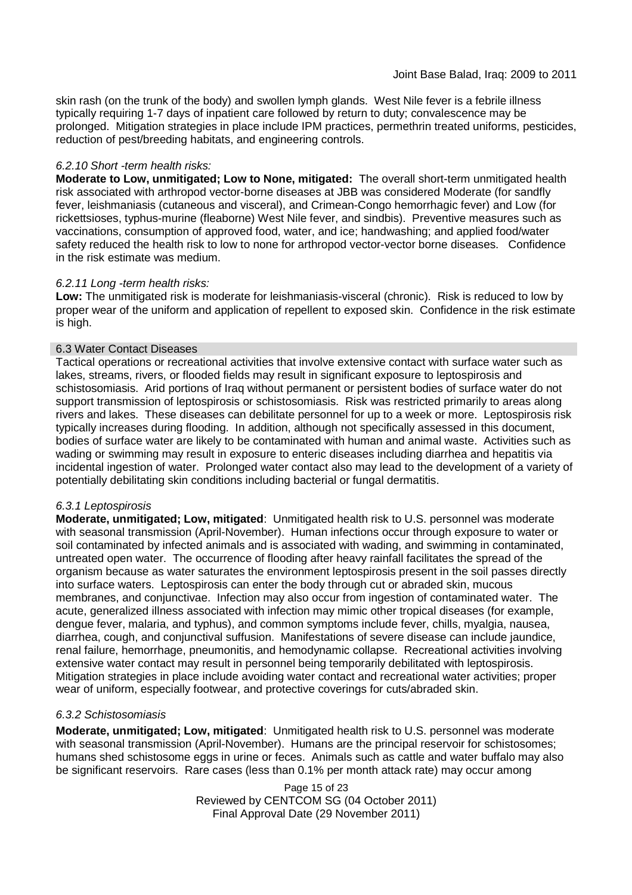skin rash (on the trunk of the body) and swollen lymph glands. West Nile fever is a febrile illness typically requiring 1-7 days of inpatient care followed by return to duty; convalescence may be prolonged. Mitigation strategies in place include IPM practices, permethrin treated uniforms, pesticides, reduction of pest/breeding habitats, and engineering controls.

### *6.2.10 Short -term health risks:*

**Moderate to Low, unmitigated; Low to None, mitigated:** The overall short-term unmitigated health risk associated with arthropod vector-borne diseases at JBB was considered Moderate (for sandfly fever, leishmaniasis (cutaneous and visceral), and Crimean-Congo hemorrhagic fever) and Low (for rickettsioses, typhus-murine (fleaborne) West Nile fever, and sindbis). Preventive measures such as vaccinations, consumption of approved food, water, and ice; handwashing; and applied food/water safety reduced the health risk to low to none for arthropod vector-vector borne diseases. Confidence in the risk estimate was medium.

### *6.2.11 Long -term health risks:*

**Low:** The unmitigated risk is moderate for leishmaniasis-visceral (chronic). Risk is reduced to low by proper wear of the uniform and application of repellent to exposed skin. Confidence in the risk estimate is high.

### 6.3 Water Contact Diseases

Tactical operations or recreational activities that involve extensive contact with surface water such as lakes, streams, rivers, or flooded fields may result in significant exposure to leptospirosis and schistosomiasis. Arid portions of Iraq without permanent or persistent bodies of surface water do not support transmission of leptospirosis or schistosomiasis. Risk was restricted primarily to areas along rivers and lakes. These diseases can debilitate personnel for up to a week or more. Leptospirosis risk typically increases during flooding. In addition, although not specifically assessed in this document, bodies of surface water are likely to be contaminated with human and animal waste. Activities such as wading or swimming may result in exposure to enteric diseases including diarrhea and hepatitis via incidental ingestion of water. Prolonged water contact also may lead to the development of a variety of potentially debilitating skin conditions including bacterial or fungal dermatitis.

### *6.3.1 Leptospirosis*

**Moderate, unmitigated; Low, mitigated**: Unmitigated health risk to U.S. personnel was moderate with seasonal transmission (April-November). Human infections occur through exposure to water or soil contaminated by infected animals and is associated with wading, and swimming in contaminated, untreated open water. The occurrence of flooding after heavy rainfall facilitates the spread of the organism because as water saturates the environment leptospirosis present in the soil passes directly into surface waters. Leptospirosis can enter the body through cut or abraded skin, mucous membranes, and conjunctivae. Infection may also occur from ingestion of contaminated water. The acute, generalized illness associated with infection may mimic other tropical diseases (for example, dengue fever, malaria, and typhus), and common symptoms include fever, chills, myalgia, nausea, diarrhea, cough, and conjunctival suffusion. Manifestations of severe disease can include jaundice, renal failure, hemorrhage, pneumonitis, and hemodynamic collapse. Recreational activities involving extensive water contact may result in personnel being temporarily debilitated with leptospirosis. Mitigation strategies in place include avoiding water contact and recreational water activities; proper wear of uniform, especially footwear, and protective coverings for cuts/abraded skin.

### *6.3.2 Schistosomiasis*

**Moderate, unmitigated; Low, mitigated**: Unmitigated health risk to U.S. personnel was moderate with seasonal transmission (April-November). Humans are the principal reservoir for schistosomes; humans shed schistosome eggs in urine or feces. Animals such as cattle and water buffalo may also be significant reservoirs. Rare cases (less than 0.1% per month attack rate) may occur among

> Page 15 of 23 Reviewed by CENTCOM SG (04 October 2011) Final Approval Date (29 November 2011)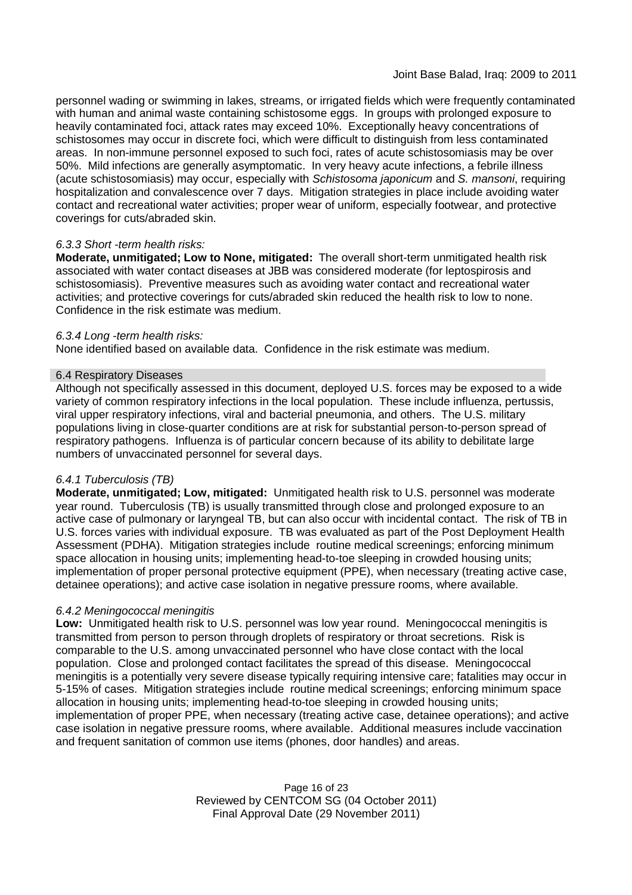personnel wading or swimming in lakes, streams, or irrigated fields which were frequently contaminated with human and animal waste containing schistosome eggs. In groups with prolonged exposure to heavily contaminated foci, attack rates may exceed 10%. Exceptionally heavy concentrations of schistosomes may occur in discrete foci, which were difficult to distinguish from less contaminated areas. In non-immune personnel exposed to such foci, rates of acute schistosomiasis may be over 50%. Mild infections are generally asymptomatic. In very heavy acute infections, a febrile illness (acute schistosomiasis) may occur, especially with *Schistosoma japonicum* and *S. mansoni*, requiring hospitalization and convalescence over 7 days. Mitigation strategies in place include avoiding water contact and recreational water activities; proper wear of uniform, especially footwear, and protective coverings for cuts/abraded skin.

### *6.3.3 Short -term health risks:*

**Moderate, unmitigated; Low to None, mitigated:** The overall short-term unmitigated health risk associated with water contact diseases at JBB was considered moderate (for leptospirosis and schistosomiasis). Preventive measures such as avoiding water contact and recreational water activities; and protective coverings for cuts/abraded skin reduced the health risk to low to none. Confidence in the risk estimate was medium.

### *6.3.4 Long -term health risks:*

None identified based on available data. Confidence in the risk estimate was medium.

### 6.4 Respiratory Diseases

Although not specifically assessed in this document, deployed U.S. forces may be exposed to a wide variety of common respiratory infections in the local population. These include influenza, pertussis, viral upper respiratory infections, viral and bacterial pneumonia, and others. The U.S. military populations living in close-quarter conditions are at risk for substantial person-to-person spread of respiratory pathogens. Influenza is of particular concern because of its ability to debilitate large numbers of unvaccinated personnel for several days.

### *6.4.1 Tuberculosis (TB)*

**Moderate, unmitigated; Low, mitigated:** Unmitigated health risk to U.S. personnel was moderate year round. Tuberculosis (TB) is usually transmitted through close and prolonged exposure to an active case of pulmonary or laryngeal TB, but can also occur with incidental contact. The risk of TB in U.S. forces varies with individual exposure. TB was evaluated as part of the Post Deployment Health Assessment (PDHA). Mitigation strategies include routine medical screenings; enforcing minimum space allocation in housing units; implementing head-to-toe sleeping in crowded housing units; implementation of proper personal protective equipment (PPE), when necessary (treating active case, detainee operations); and active case isolation in negative pressure rooms, where available.

### *6.4.2 Meningococcal meningitis*

**Low:** Unmitigated health risk to U.S. personnel was low year round. Meningococcal meningitis is transmitted from person to person through droplets of respiratory or throat secretions. Risk is comparable to the U.S. among unvaccinated personnel who have close contact with the local population. Close and prolonged contact facilitates the spread of this disease. Meningococcal meningitis is a potentially very severe disease typically requiring intensive care; fatalities may occur in 5-15% of cases. Mitigation strategies include routine medical screenings; enforcing minimum space allocation in housing units; implementing head-to-toe sleeping in crowded housing units; implementation of proper PPE, when necessary (treating active case, detainee operations); and active case isolation in negative pressure rooms, where available. Additional measures include vaccination and frequent sanitation of common use items (phones, door handles) and areas.

> Page 16 of 23 Reviewed by CENTCOM SG (04 October 2011) Final Approval Date (29 November 2011)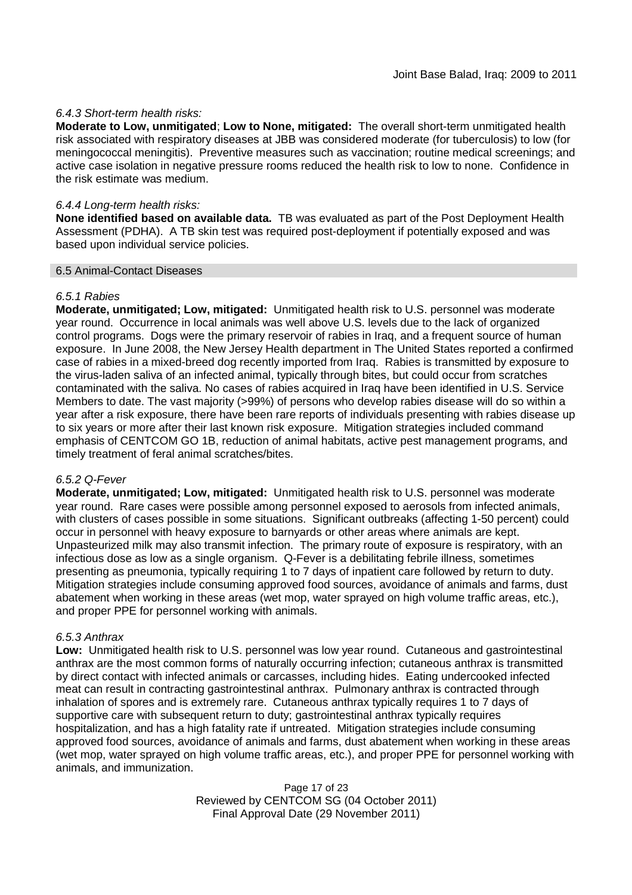### *6.4.3 Short-term health risks:*

**Moderate to Low, unmitigated**; **Low to None, mitigated:** The overall short-term unmitigated health risk associated with respiratory diseases at JBB was considered moderate (for tuberculosis) to low (for meningococcal meningitis). Preventive measures such as vaccination; routine medical screenings; and active case isolation in negative pressure rooms reduced the health risk to low to none. Confidence in the risk estimate was medium.

### *6.4.4 Long-term health risks:*

**None identified based on available data.** TB was evaluated as part of the Post Deployment Health Assessment (PDHA). A TB skin test was required post-deployment if potentially exposed and was based upon individual service policies.

### 6.5 Animal-Contact Diseases

### *6.5.1 Rabies*

**Moderate, unmitigated; Low, mitigated:** Unmitigated health risk to U.S. personnel was moderate year round. Occurrence in local animals was well above U.S. levels due to the lack of organized control programs. Dogs were the primary reservoir of rabies in Iraq, and a frequent source of human exposure. In June 2008, the New Jersey Health department in The United States reported a confirmed case of rabies in a mixed-breed dog recently imported from Iraq. Rabies is transmitted by exposure to the virus-laden saliva of an infected animal, typically through bites, but could occur from scratches contaminated with the saliva. No cases of rabies acquired in Iraq have been identified in U.S. Service Members to date. The vast majority (>99%) of persons who develop rabies disease will do so within a year after a risk exposure, there have been rare reports of individuals presenting with rabies disease up to six years or more after their last known risk exposure. Mitigation strategies included command emphasis of CENTCOM GO 1B, reduction of animal habitats, active pest management programs, and timely treatment of feral animal scratches/bites.

### *6.5.2 Q-Fever*

**Moderate, unmitigated; Low, mitigated:** Unmitigated health risk to U.S. personnel was moderate year round. Rare cases were possible among personnel exposed to aerosols from infected animals, with clusters of cases possible in some situations. Significant outbreaks (affecting 1-50 percent) could occur in personnel with heavy exposure to barnyards or other areas where animals are kept. Unpasteurized milk may also transmit infection. The primary route of exposure is respiratory, with an infectious dose as low as a single organism. Q-Fever is a debilitating febrile illness, sometimes presenting as pneumonia, typically requiring 1 to 7 days of inpatient care followed by return to duty. Mitigation strategies include consuming approved food sources, avoidance of animals and farms, dust abatement when working in these areas (wet mop, water sprayed on high volume traffic areas, etc.), and proper PPE for personnel working with animals.

### *6.5.3 Anthrax*

**Low:** Unmitigated health risk to U.S. personnel was low year round. Cutaneous and gastrointestinal anthrax are the most common forms of naturally occurring infection; cutaneous anthrax is transmitted by direct contact with infected animals or carcasses, including hides. Eating undercooked infected meat can result in contracting gastrointestinal anthrax. Pulmonary anthrax is contracted through inhalation of spores and is extremely rare. Cutaneous anthrax typically requires 1 to 7 days of supportive care with subsequent return to duty; gastrointestinal anthrax typically requires hospitalization, and has a high fatality rate if untreated. Mitigation strategies include consuming approved food sources, avoidance of animals and farms, dust abatement when working in these areas (wet mop, water sprayed on high volume traffic areas, etc.), and proper PPE for personnel working with animals, and immunization.

> Page 17 of 23 Reviewed by CENTCOM SG (04 October 2011) Final Approval Date (29 November 2011)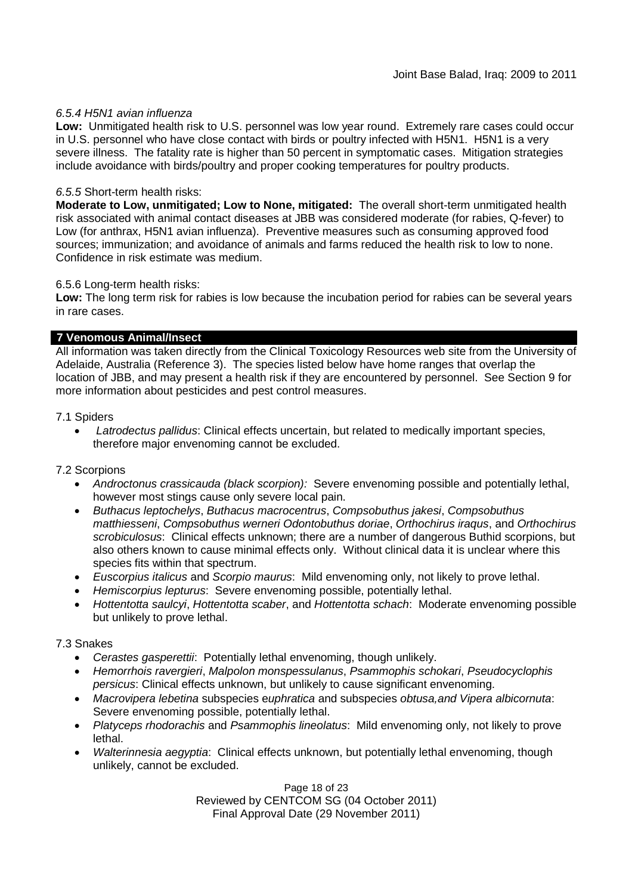### *6.5.4 H5N1 avian influenza*

**Low:** Unmitigated health risk to U.S. personnel was low year round. Extremely rare cases could occur in U.S. personnel who have close contact with birds or poultry infected with H5N1. H5N1 is a very severe illness. The fatality rate is higher than 50 percent in symptomatic cases. Mitigation strategies include avoidance with birds/poultry and proper cooking temperatures for poultry products.

### *6.5.5* Short-term health risks:

**Moderate to Low, unmitigated; Low to None, mitigated:** The overall short-term unmitigated health risk associated with animal contact diseases at JBB was considered moderate (for rabies, Q-fever) to Low (for anthrax, H5N1 avian influenza). Preventive measures such as consuming approved food sources; immunization; and avoidance of animals and farms reduced the health risk to low to none. Confidence in risk estimate was medium.

### 6.5.6 Long-term health risks:

**Low:** The long term risk for rabies is low because the incubation period for rabies can be several years in rare cases.

### **7 Venomous Animal/Insect**

All information was taken directly from the Clinical Toxicology Resources web site from the University of Adelaide, Australia (Reference 3). The species listed below have home ranges that overlap the location of JBB, and may present a health risk if they are encountered by personnel. See Section 9 for more information about pesticides and pest control measures.

### 7.1 Spiders

 *Latrodectus pallidus*: Clinical effects uncertain, but related to medically important species, therefore major envenoming cannot be excluded.

### 7.2 Scorpions

- *Androctonus crassicauda (black scorpion):* Severe envenoming possible and potentially lethal, however most stings cause only severe local pain.
- *Buthacus leptochelys*, *Buthacus macrocentrus*, *Compsobuthus jakesi*, *Compsobuthus matthiesseni*, *Compsobuthus werneri Odontobuthus doriae*, *Orthochirus iraqus*, and *Orthochirus scrobiculosus*: Clinical effects unknown; there are a number of dangerous Buthid scorpions, but also others known to cause minimal effects only. Without clinical data it is unclear where this species fits within that spectrum.
- *Euscorpius italicus* and *Scorpio maurus*: Mild envenoming only, not likely to prove lethal.
- *Hemiscorpius lepturus*: Severe envenoming possible, potentially lethal.
- *Hottentotta saulcyi*, *Hottentotta scaber*, and *Hottentotta schach*: Moderate envenoming possible but unlikely to prove lethal.

### 7.3 Snakes

- *Cerastes gasperettii*: Potentially lethal envenoming, though unlikely.
- *Hemorrhois ravergieri*, *Malpolon monspessulanus*, *Psammophis schokari*, *Pseudocyclophis persicus*: Clinical effects unknown, but unlikely to cause significant envenoming.
- *Macrovipera lebetina* subspecies e*uphratica* and subspecies *obtusa,and Vipera albicornuta*: Severe envenoming possible, potentially lethal.
- *Platyceps rhodorachis* and *Psammophis lineolatus*: Mild envenoming only, not likely to prove lethal.
- *Walterinnesia aegyptia*: Clinical effects unknown, but potentially lethal envenoming, though unlikely, cannot be excluded.

Page 18 of 23 Reviewed by CENTCOM SG (04 October 2011) Final Approval Date (29 November 2011)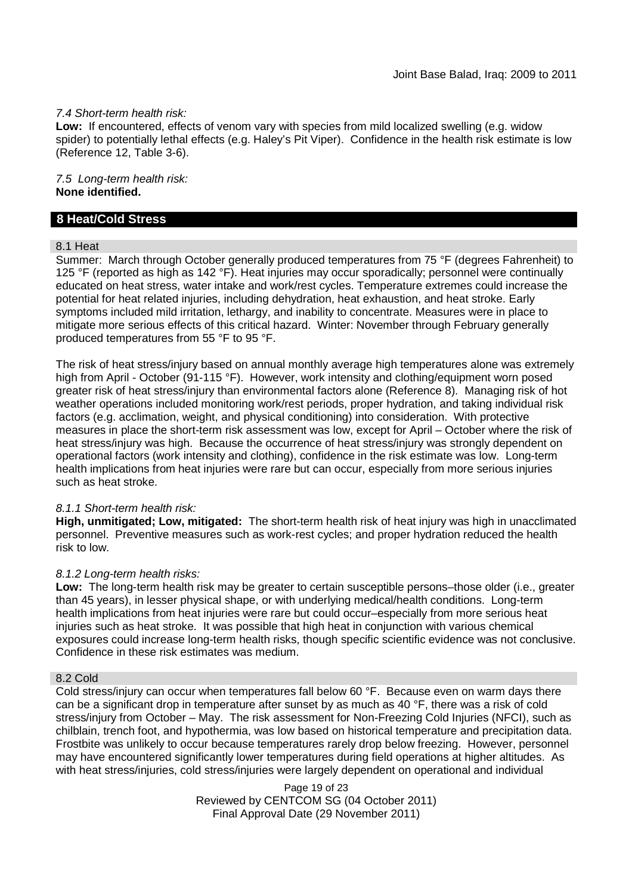### *7.4 Short-term health risk:*

**Low:** If encountered, effects of venom vary with species from mild localized swelling (e.g. widow spider) to potentially lethal effects (e.g. Haley's Pit Viper). Confidence in the health risk estimate is low (Reference 12, Table 3-6).

*7.5 Long-term health risk:* **None identified.**

### **8 Heat/Cold Stress**

### 8.1 Heat

Summer: March through October generally produced temperatures from 75 °F (degrees Fahrenheit) to 125 °F (reported as high as 142 °F). Heat injuries may occur sporadically; personnel were continually educated on heat stress, water intake and work/rest cycles. Temperature extremes could increase the potential for heat related injuries, including dehydration, heat exhaustion, and heat stroke. Early symptoms included mild irritation, lethargy, and inability to concentrate. Measures were in place to mitigate more serious effects of this critical hazard. Winter: November through February generally produced temperatures from 55 °F to 95 °F.

The risk of heat stress/injury based on annual monthly average high temperatures alone was extremely high from April - October (91-115 °F). However, work intensity and clothing/equipment worn posed greater risk of heat stress/injury than environmental factors alone (Reference 8). Managing risk of hot weather operations included monitoring work/rest periods, proper hydration, and taking individual risk factors (e.g. acclimation, weight, and physical conditioning) into consideration. With protective measures in place the short-term risk assessment was low, except for April – October where the risk of heat stress/injury was high. Because the occurrence of heat stress/injury was strongly dependent on operational factors (work intensity and clothing), confidence in the risk estimate was low. Long-term health implications from heat injuries were rare but can occur, especially from more serious injuries such as heat stroke.

### *8.1.1 Short-term health risk:*

**High, unmitigated; Low, mitigated:** The short-term health risk of heat injury was high in unacclimated personnel. Preventive measures such as work-rest cycles; and proper hydration reduced the health risk to low.

### *8.1.2 Long-term health risks:*

**Low:** The long-term health risk may be greater to certain susceptible persons–those older (i.e., greater than 45 years), in lesser physical shape, or with underlying medical/health conditions. Long-term health implications from heat injuries were rare but could occur–especially from more serious heat injuries such as heat stroke. It was possible that high heat in conjunction with various chemical exposures could increase long-term health risks, though specific scientific evidence was not conclusive. Confidence in these risk estimates was medium.

#### 8.2 Cold

Cold stress/injury can occur when temperatures fall below 60 °F. Because even on warm days there can be a significant drop in temperature after sunset by as much as 40 °F, there was a risk of cold stress/injury from October – May. The risk assessment for Non-Freezing Cold Injuries (NFCI), such as chilblain, trench foot, and hypothermia, was low based on historical temperature and precipitation data. Frostbite was unlikely to occur because temperatures rarely drop below freezing. However, personnel may have encountered significantly lower temperatures during field operations at higher altitudes. As with heat stress/injuries, cold stress/injuries were largely dependent on operational and individual

> Page 19 of 23 Reviewed by CENTCOM SG (04 October 2011) Final Approval Date (29 November 2011)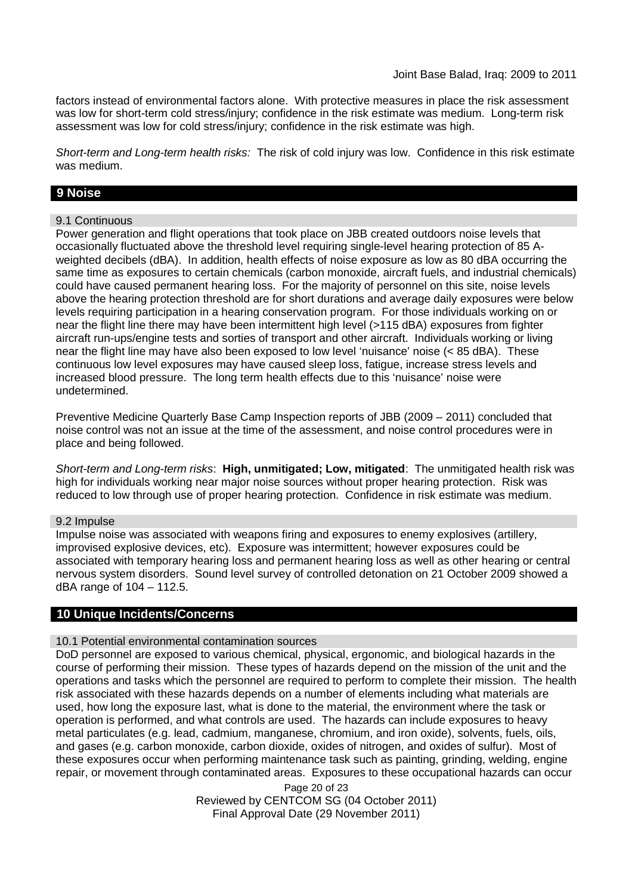factors instead of environmental factors alone. With protective measures in place the risk assessment was low for short-term cold stress/injury; confidence in the risk estimate was medium. Long-term risk assessment was low for cold stress/injury; confidence in the risk estimate was high.

*Short-term and Long-term health risks:* The risk of cold injury was low. Confidence in this risk estimate was medium.

# **9 Noise**

### 9.1 Continuous

Power generation and flight operations that took place on JBB created outdoors noise levels that occasionally fluctuated above the threshold level requiring single-level hearing protection of 85 Aweighted decibels (dBA). In addition, health effects of noise exposure as low as 80 dBA occurring the same time as exposures to certain chemicals (carbon monoxide, aircraft fuels, and industrial chemicals) could have caused permanent hearing loss. For the majority of personnel on this site, noise levels above the hearing protection threshold are for short durations and average daily exposures were below levels requiring participation in a hearing conservation program. For those individuals working on or near the flight line there may have been intermittent high level (>115 dBA) exposures from fighter aircraft run-ups/engine tests and sorties of transport and other aircraft. Individuals working or living near the flight line may have also been exposed to low level 'nuisance' noise (< 85 dBA). These continuous low level exposures may have caused sleep loss, fatigue, increase stress levels and increased blood pressure. The long term health effects due to this 'nuisance' noise were undetermined.

Preventive Medicine Quarterly Base Camp Inspection reports of JBB (2009 – 2011) concluded that noise control was not an issue at the time of the assessment, and noise control procedures were in place and being followed.

*Short-term and Long-term risks*: **High, unmitigated; Low, mitigated**: The unmitigated health risk was high for individuals working near major noise sources without proper hearing protection. Risk was reduced to low through use of proper hearing protection. Confidence in risk estimate was medium.

### 9.2 Impulse

Impulse noise was associated with weapons firing and exposures to enemy explosives (artillery, improvised explosive devices, etc). Exposure was intermittent; however exposures could be associated with temporary hearing loss and permanent hearing loss as well as other hearing or central nervous system disorders. Sound level survey of controlled detonation on 21 October 2009 showed a dBA range of 104 – 112.5.

### **10 Unique Incidents/Concerns**

### 10.1 Potential environmental contamination sources

DoD personnel are exposed to various chemical, physical, ergonomic, and biological hazards in the course of performing their mission. These types of hazards depend on the mission of the unit and the operations and tasks which the personnel are required to perform to complete their mission. The health risk associated with these hazards depends on a number of elements including what materials are used, how long the exposure last, what is done to the material, the environment where the task or operation is performed, and what controls are used. The hazards can include exposures to heavy metal particulates (e.g. lead, cadmium, manganese, chromium, and iron oxide), solvents, fuels, oils, and gases (e.g. carbon monoxide, carbon dioxide, oxides of nitrogen, and oxides of sulfur). Most of these exposures occur when performing maintenance task such as painting, grinding, welding, engine repair, or movement through contaminated areas. Exposures to these occupational hazards can occur

> Page 20 of 23 Reviewed by CENTCOM SG (04 October 2011) Final Approval Date (29 November 2011)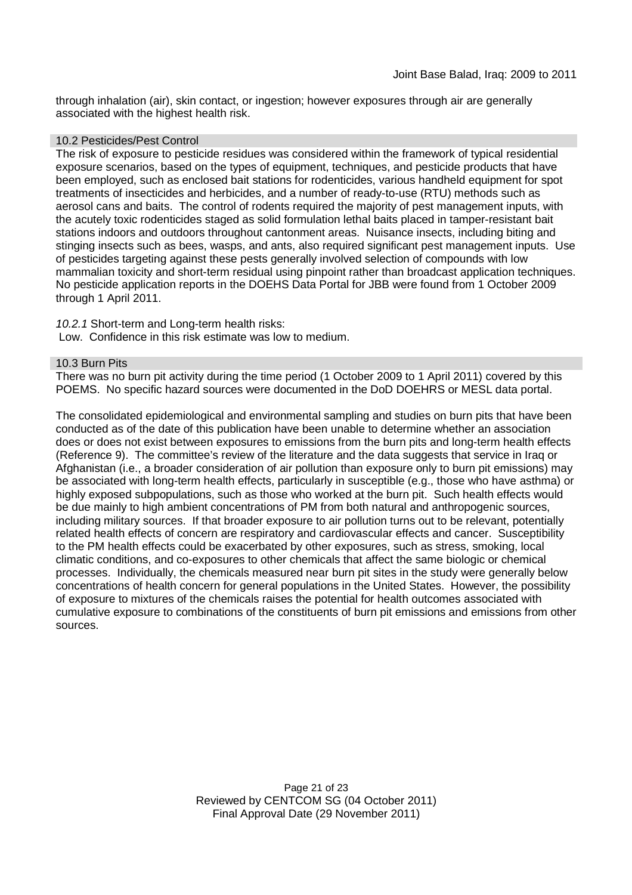through inhalation (air), skin contact, or ingestion; however exposures through air are generally associated with the highest health risk.

### 10.2 Pesticides/Pest Control

The risk of exposure to pesticide residues was considered within the framework of typical residential exposure scenarios, based on the types of equipment, techniques, and pesticide products that have been employed, such as enclosed bait stations for rodenticides, various handheld equipment for spot treatments of insecticides and herbicides, and a number of ready-to-use (RTU) methods such as aerosol cans and baits. The control of rodents required the majority of pest management inputs, with the acutely toxic rodenticides staged as solid formulation lethal baits placed in tamper-resistant bait stations indoors and outdoors throughout cantonment areas. Nuisance insects, including biting and stinging insects such as bees, wasps, and ants, also required significant pest management inputs. Use of pesticides targeting against these pests generally involved selection of compounds with low mammalian toxicity and short-term residual using pinpoint rather than broadcast application techniques. No pesticide application reports in the DOEHS Data Portal for JBB were found from 1 October 2009 through 1 April 2011.

*10.2.1* Short-term and Long-term health risks:

Low. Confidence in this risk estimate was low to medium.

#### 10.3 Burn Pits

There was no burn pit activity during the time period (1 October 2009 to 1 April 2011) covered by this POEMS. No specific hazard sources were documented in the DoD DOEHRS or MESL data portal.

The consolidated epidemiological and environmental sampling and studies on burn pits that have been conducted as of the date of this publication have been unable to determine whether an association does or does not exist between exposures to emissions from the burn pits and long-term health effects (Reference 9). The committee's review of the literature and the data suggests that service in Iraq or Afghanistan (i.e., a broader consideration of air pollution than exposure only to burn pit emissions) may be associated with long-term health effects, particularly in susceptible (e.g., those who have asthma) or highly exposed subpopulations, such as those who worked at the burn pit. Such health effects would be due mainly to high ambient concentrations of PM from both natural and anthropogenic sources, including military sources. If that broader exposure to air pollution turns out to be relevant, potentially related health effects of concern are respiratory and cardiovascular effects and cancer. Susceptibility to the PM health effects could be exacerbated by other exposures, such as stress, smoking, local climatic conditions, and co-exposures to other chemicals that affect the same biologic or chemical processes. Individually, the chemicals measured near burn pit sites in the study were generally below concentrations of health concern for general populations in the United States. However, the possibility of exposure to mixtures of the chemicals raises the potential for health outcomes associated with cumulative exposure to combinations of the constituents of burn pit emissions and emissions from other sources.

> Page 21 of 23 Reviewed by CENTCOM SG (04 October 2011) Final Approval Date (29 November 2011)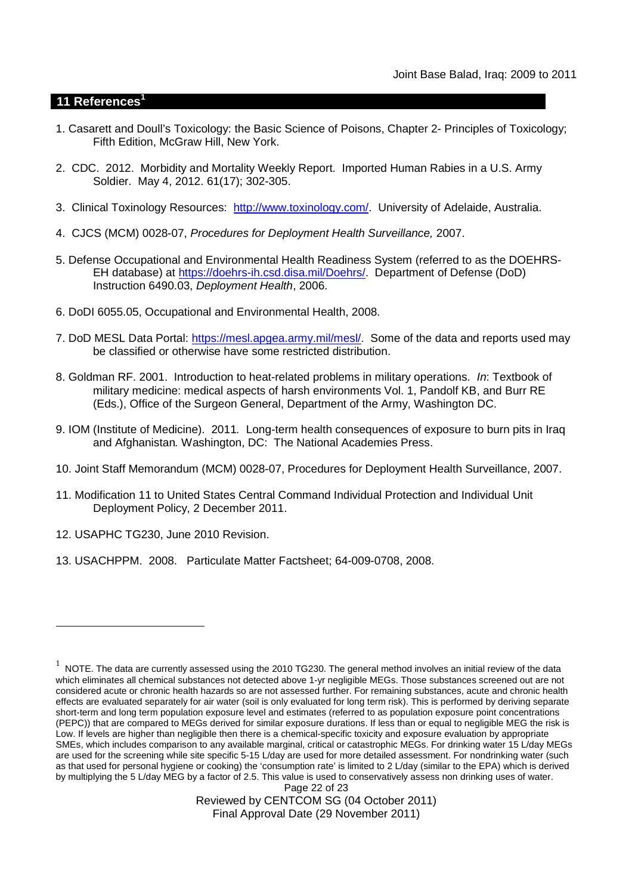### **11 References<sup>1</sup>**

- 1. Casarett and Doull's Toxicology: the Basic Science of Poisons, Chapter 2- Principles of Toxicology; Fifth Edition, McGraw Hill, New York.
- 2. CDC. 2012. Morbidity and Mortality Weekly Report. Imported Human Rabies in a U.S. Army Soldier. May 4, 2012. 61(17); 302-305.
- 3. Clinical Toxinology Resources: http://www.toxinology.com/. University of Adelaide, Australia.
- 4. CJCS (MCM) 0028-07, *Procedures for Deployment Health Surveillance,* 2007.
- 5. Defense Occupational and Environmental Health Readiness System (referred to as the DOEHRS-EH database) at https://doehrs-ih.csd.disa.mil/Doehrs/. Department of Defense (DoD) Instruction 6490.03, *Deployment Health*, 2006.
- 6. DoDI 6055.05, Occupational and Environmental Health, 2008.
- 7. DoD MESL Data Portal: https://mesl.apgea.army.mil/mesl/. Some of the data and reports used may be classified or otherwise have some restricted distribution.
- 8. Goldman RF. 2001. Introduction to heat-related problems in military operations. *In*: Textbook of military medicine: medical aspects of harsh environments Vol. 1, Pandolf KB, and Burr RE (Eds.), Office of the Surgeon General, Department of the Army, Washington DC.
- 9. IOM (Institute of Medicine). 2011*.* Long-term health consequences of exposure to burn pits in Iraq and Afghanistan*.* Washington, DC: The National Academies Press.
- 10. Joint Staff Memorandum (MCM) 0028-07, Procedures for Deployment Health Surveillance, 2007.
- 11. Modification 11 to United States Central Command Individual Protection and Individual Unit Deployment Policy, 2 December 2011.
- 12. USAPHC TG230, June 2010 Revision.
- 13. USACHPPM. 2008. Particulate Matter Factsheet; 64-009-0708, 2008.

Reviewed by CENTCOM SG (04 October 2011) Final Approval Date (29 November 2011)

Page 22 of 23  $^1$  NOTE. The data are currently assessed using the 2010 TG230. The general method involves an initial review of the data which eliminates all chemical substances not detected above 1-yr negligible MEGs. Those substances screened out are not considered acute or chronic health hazards so are not assessed further. For remaining substances, acute and chronic health effects are evaluated separately for air water (soil is only evaluated for long term risk). This is performed by deriving separate short-term and long term population exposure level and estimates (referred to as population exposure point concentrations (PEPC)) that are compared to MEGs derived for similar exposure durations. If less than or equal to negligible MEG the risk is Low. If levels are higher than negligible then there is a chemical-specific toxicity and exposure evaluation by appropriate SMEs, which includes comparison to any available marginal, critical or catastrophic MEGs. For drinking water 15 L/day MEGs are used for the screening while site specific 5-15 L/day are used for more detailed assessment. For nondrinking water (such as that used for personal hygiene or cooking) the 'consumption rate' is limited to 2 L/day (similar to the EPA) which is derived by multiplying the 5 L/day MEG by a factor of 2.5. This value is used to conservatively assess non drinking uses of water.